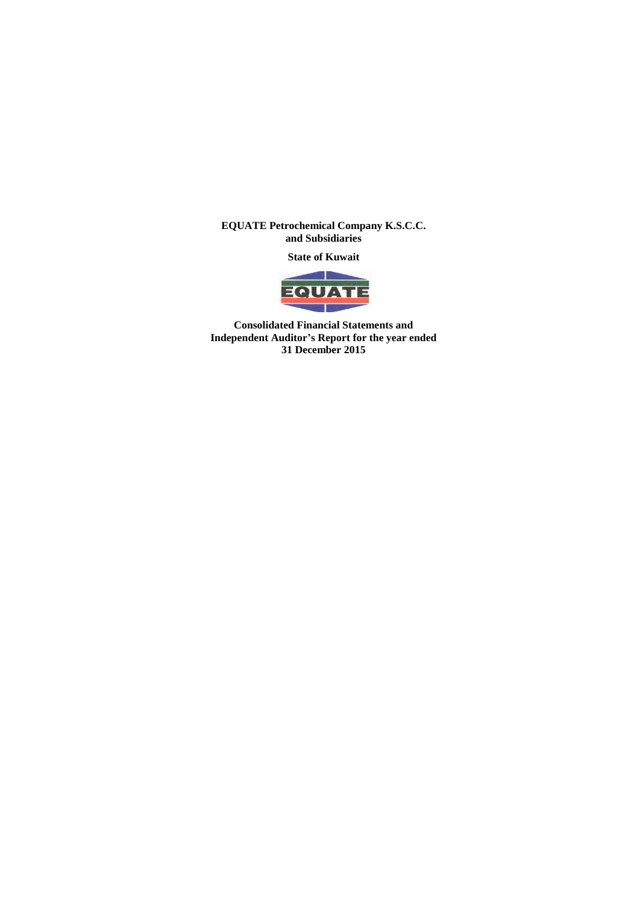#### **EQUATE Petrochemical Company K.S.C.C. and Subsidiaries**

**State of Kuwait**



**Consolidated Financial Statements and Independent Auditor's Report for the year ended 31 December 2015**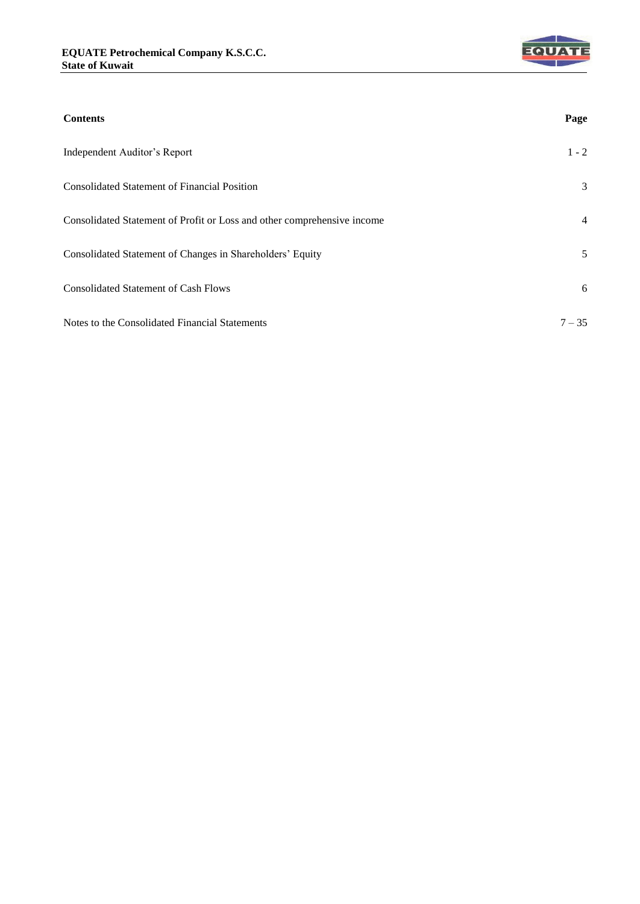

| <b>Contents</b>                                                         | Page           |
|-------------------------------------------------------------------------|----------------|
| Independent Auditor's Report                                            | $1 - 2$        |
| <b>Consolidated Statement of Financial Position</b>                     | 3              |
| Consolidated Statement of Profit or Loss and other comprehensive income | $\overline{4}$ |
| Consolidated Statement of Changes in Shareholders' Equity               | 5              |
| <b>Consolidated Statement of Cash Flows</b>                             | 6              |
| Notes to the Consolidated Financial Statements                          | $7 - 35$       |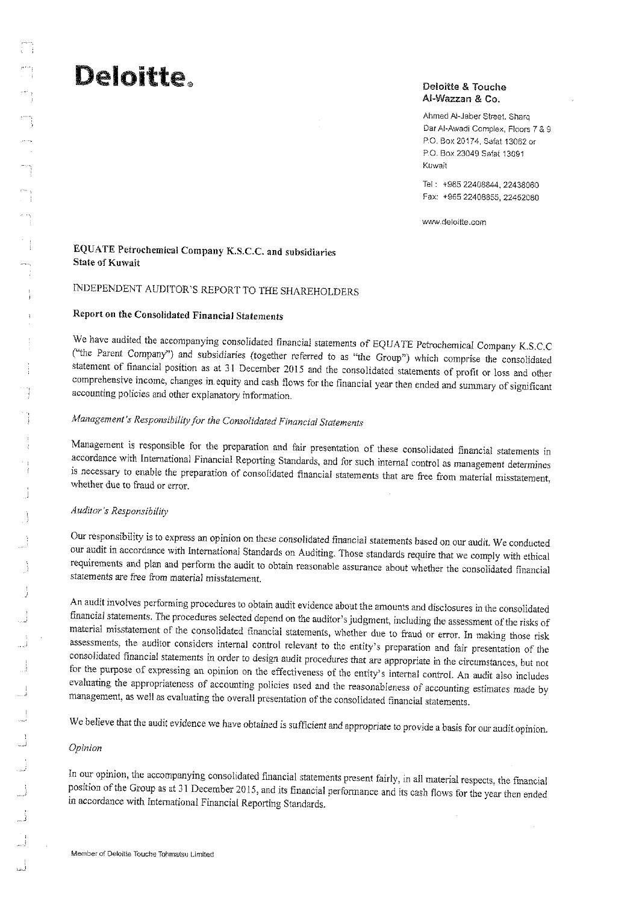# **Deloitte.**

#### Deloitte & Touche Al-Wazzan & Co.

Ahmed Al-Jaber Street, Sharo Dar Al-Awadi Complex, Floors 7 & 9 P.O. Box 20174, Safat 13062 or P.O. Box 23049 Safat 13091 Kuwait

Tel: +965 22408844, 22438060 Fax: +965 22408855, 22452080

www.deloitte.com

# EQUATE Petrochemical Company K.S.C.C. and subsidiaries **State of Kuwait**

# INDEPENDENT AUDITOR'S REPORT TO THE SHAREHOLDERS

# Report on the Consolidated Financial Statements

We have audited the accompanying consolidated financial statements of EQUATE Petrochemical Company K.S.C.C ("the Parent Company") and subsidiaries (together referred to as "the Group") which comprise the consolidated statement of financial position as at 31 December 2015 and the consolidated statements of profit or loss and other comprehensive income, changes in equity and cash flows for the financial year then ended and summary of significant accounting policies and other explanatory information.

# Management's Responsibility for the Consolidated Financial Statements

Management is responsible for the preparation and fair presentation of these consolidated financial statements in accordance with International Financial Reporting Standards, and for such internal control as management determines is necessary to enable the preparation of consolidated financial statements that are free from material misstatement, whether due to fraud or error.

#### Auditor's Responsibility

Our responsibility is to express an opinion on these consolidated financial statements based on our audit. We conducted our audit in accordance with International Standards on Auditing. Those standards require that we comply with ethical requirements and plan and perform the audit to obtain reasonable assurance about whether the consolidated financial statements are free from material misstatement.

An audit involves performing procedures to obtain audit evidence about the amounts and disclosures in the consolidated financial statements. The procedures selected depend on the auditor's judgment, including the assessment of the risks of material misstatement of the consolidated financial statements, whether due to fraud or error. In making those risk assessments, the auditor considers internal control relevant to the entity's preparation and fair presentation of the consolidated financial statements in order to design audit procedures that are appropriate in the circumstances, but not for the purpose of expressing an opinion on the effectiveness of the entity's internal control. An audit also includes evaluating the appropriateness of accounting policies used and the reasonableness of accounting estimates made by management, as well as evaluating the overall presentation of the consolidated financial statements.

We believe that the audit evidence we have obtained is sufficient and appropriate to provide a basis for our audit opinion.

#### Opinion

In our opinion, the accompanying consolidated financial statements present fairly, in all material respects, the financial position of the Group as at 31 December 2015, and its financial performance and its cash flows for the year then ended in accordance with International Financial Reporting Standards.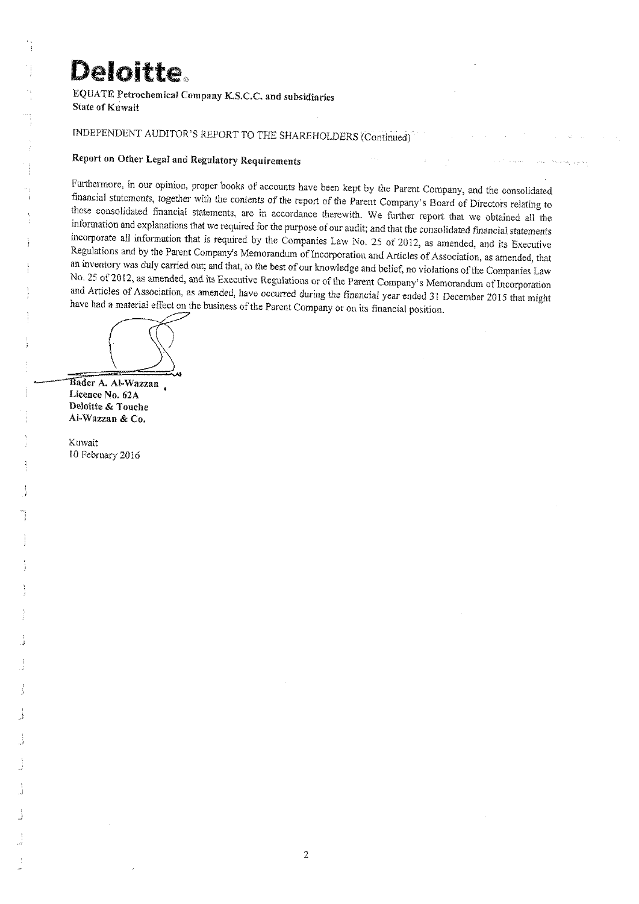# **Deloitte**

EQUATE Petrochemical Company K.S.C.C. and subsidiaries State of Kuwait

# INDEPENDENT AUDITOR'S REPORT TO THE SHAREHOLDERS (Continued)

# Report on Other Legal and Regulatory Requirements

Furthermore, in our opinion, proper books of accounts have been kept by the Parent Company, and the consolidated financial statements, together with the contents of the report of the Parent Company's Board of Directors relating to these consolidated financial statements, are in accordance therewith. We further report that we obtained all the information and explanations that we required for the purpose of our audit; and that the consolidated financial statements incorporate all information that is required by the Companies Law No. 25 of 2012, as amended, and its Executive Regulations and by the Parent Company's Memorandum of Incorporation and Articles of Association, as amended, that an inventory was duly carried out; and that, to the best of our knowledge and belief, no violations of the Companies Law No. 25 of 2012, as amended, and its Executive Regulations or of the Parent Company's Memorandum of Incorporation and Articles of Association, as amended, have occurred during the financial year ended 31 December 2015 that might have had a material effect on the business of the Parent Company or on its financial position.

Bader A. Al-Wazzan Licence No. 62A Deloitte & Touche Al-Wazzan & Co.

Kuwait 10 February 2016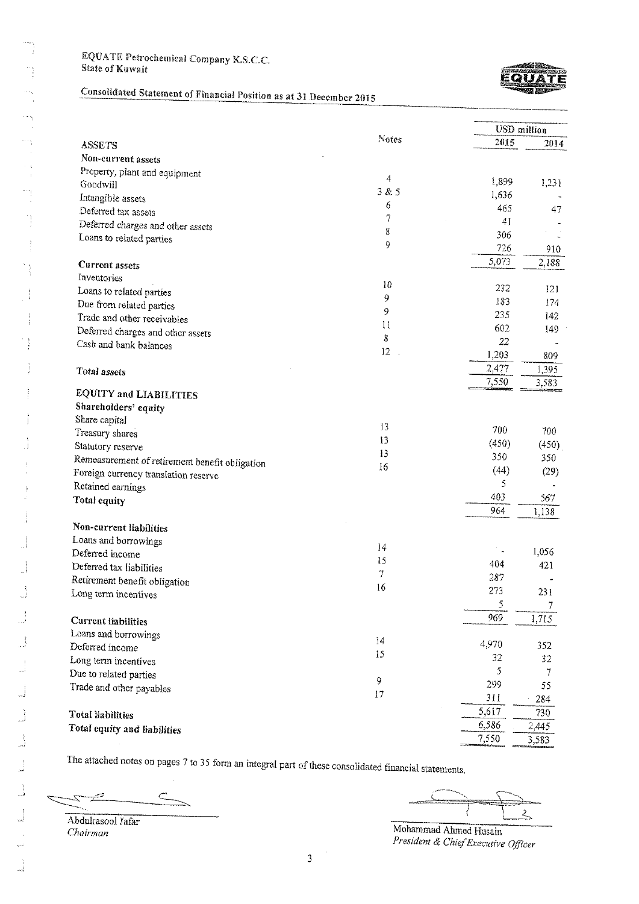

# Consolidated Statement of Financial Position as at 31 December 2015

|                                                |              |                       | <b>USD</b> million |
|------------------------------------------------|--------------|-----------------------|--------------------|
| <b>ASSETS</b>                                  | <b>Notes</b> | 2015                  | 2014               |
| Non-current assets                             |              |                       |                    |
| Property, plant and equipment                  |              |                       |                    |
| Goodwill                                       | 4            | 1,899                 | 1,231              |
| Intangible assets                              | 3 & 5        | 1,636                 |                    |
| Deferred tax assets                            | 6            | 465                   | 47                 |
| Deferred charges and other assets              | 7            | 4]                    |                    |
| Loans to related parties                       | 8            | 306                   |                    |
|                                                | 9            | 726                   | 910                |
| <b>Current assets</b>                          |              | 5.073                 | 2,188              |
| Inventories                                    | 10           |                       |                    |
| Loans to related parties                       |              | 232                   | 121                |
| Due from related parties                       | 9            | 183                   | 174                |
| Trade and other receivables                    | 9            | 235                   | 142                |
| Deferred charges and other assets              | $\mathbf{H}$ | 602                   | 149                |
| Cash and bank balances                         | 8            | 22                    |                    |
|                                                | 12           | 1,203                 | 809                |
| Total assets                                   |              | 2,477                 | 1,395              |
|                                                |              | 7,550                 | 3,583              |
| <b>EQUITY and LIABILITIES</b>                  |              |                       |                    |
| Shareholders' equity                           |              |                       |                    |
| Share capital                                  | 13           | 700                   | 700                |
| Treasury shares                                | 13           | (450)                 | (450)              |
| Statutory reserve                              | 13           | 350                   | 350                |
| Remeasurement of retirement benefit obligation | 16           | (44)                  | (29)               |
| Foreign currency translation reserve           |              | 5                     |                    |
| Retained earnings                              |              | 403                   | 567                |
| Total equity                                   |              | 964                   | 1,138              |
| Non-current liabilities                        |              |                       |                    |
| Loans and borrowings                           |              |                       |                    |
| Deferred income                                | 14           | $\tilde{\phantom{a}}$ | 1,056              |
| Deferred tax liabilities                       | 15           | 404                   | 421                |
| Retirement benefit obligation                  | 7            | 287                   |                    |
| Long term incentives                           | 16           | 273                   | 231                |
|                                                |              | 5                     | 7                  |
| <b>Current liabilities</b>                     |              | 969                   | 1,715              |
| Loans and borrowings                           |              |                       |                    |
| Deferred income                                | 14           | 4,970                 | 352                |
| Long term incentives                           | 15           | 32                    | 32                 |
| Due to related parties                         |              | 5                     | 7                  |
| Trade and other payables                       | 9            | 299                   | 55                 |
|                                                | 17           | 311                   | 284                |
| <b>Total liabilities</b>                       |              | 5,617                 | 730                |
| Total equity and liabilities                   |              | 6,586                 | 2,445              |
|                                                |              | 7,550                 | 3,583              |
|                                                |              |                       |                    |

 $\subset$ 

Abdulrasool Jafar Chairman

 $\stackrel{2}{\leq}$ 

Mohammad Ahmed Husain President & Chief Executive Officer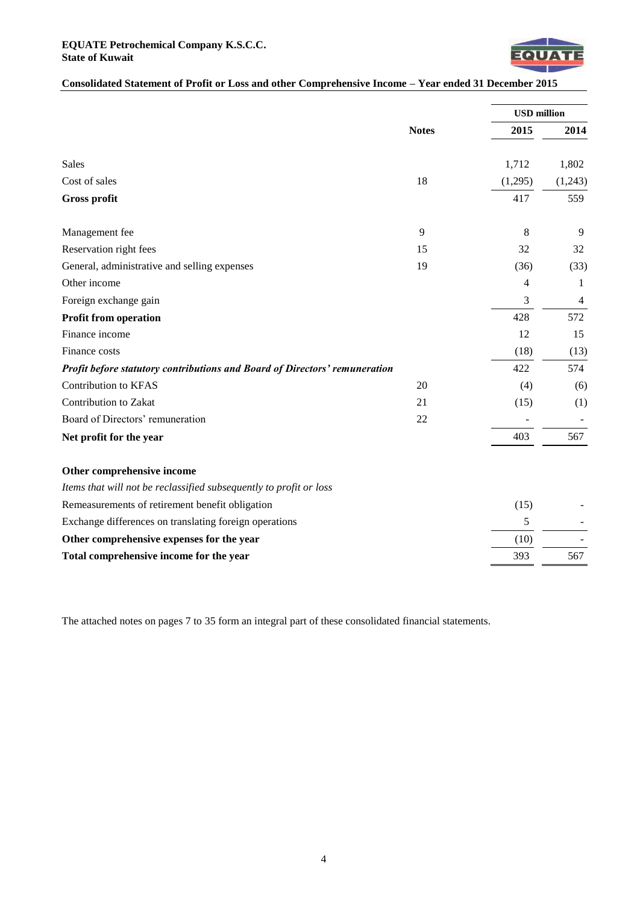

# **Consolidated Statement of Profit or Loss and other Comprehensive Income – Year ended 31 December 2015**

|                                                                            |              | <b>USD</b> million |         |
|----------------------------------------------------------------------------|--------------|--------------------|---------|
|                                                                            | <b>Notes</b> | 2015               | 2014    |
| Sales                                                                      |              | 1,712              | 1,802   |
| Cost of sales                                                              | 18           | (1,295)            | (1,243) |
| <b>Gross profit</b>                                                        |              | 417                | 559     |
| Management fee                                                             | 9            | 8                  | 9       |
| Reservation right fees                                                     | 15           | 32                 | 32      |
| General, administrative and selling expenses                               | 19           | (36)               | (33)    |
| Other income                                                               |              | 4                  | 1       |
| Foreign exchange gain                                                      |              | 3                  | 4       |
| <b>Profit from operation</b>                                               |              | 428                | 572     |
| Finance income                                                             |              | 12                 | 15      |
| Finance costs                                                              |              | (18)               | (13)    |
| Profit before statutory contributions and Board of Directors' remuneration |              | 422                | 574     |
| <b>Contribution to KFAS</b>                                                | 20           | (4)                | (6)     |
| Contribution to Zakat                                                      | 21           | (15)               | (1)     |
| Board of Directors' remuneration                                           | 22           |                    |         |
| Net profit for the year                                                    |              | 403                | 567     |
| Other comprehensive income                                                 |              |                    |         |
| Items that will not be reclassified subsequently to profit or loss         |              |                    |         |
| Remeasurements of retirement benefit obligation                            |              | (15)               |         |
| Exchange differences on translating foreign operations                     |              | 5                  |         |
| Other comprehensive expenses for the year                                  |              | (10)               |         |
| Total comprehensive income for the year                                    |              | 393                | 567     |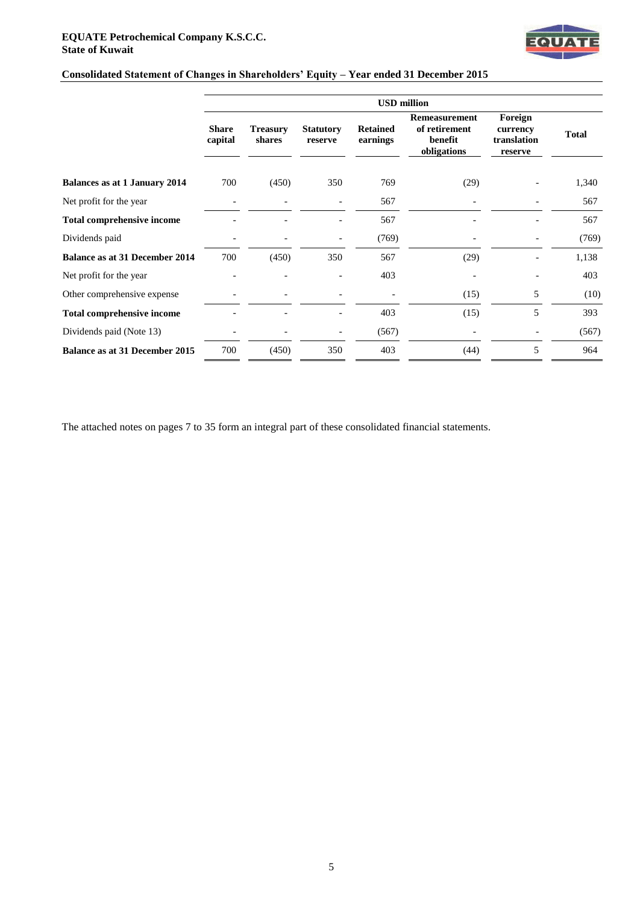# **EQUATE Petrochemical Company K.S.C.C. State of Kuwait**



# **Consolidated Statement of Changes in Shareholders' Equity – Year ended 31 December 2015**

|                                       |                         | <b>USD</b> million        |                             |                             |                                                          |                                               |              |
|---------------------------------------|-------------------------|---------------------------|-----------------------------|-----------------------------|----------------------------------------------------------|-----------------------------------------------|--------------|
|                                       | <b>Share</b><br>capital | <b>Treasury</b><br>shares | <b>Statutory</b><br>reserve | <b>Retained</b><br>earnings | Remeasurement<br>of retirement<br>benefit<br>obligations | Foreign<br>currency<br>translation<br>reserve | <b>Total</b> |
| Balances as at 1 January 2014         | 700                     | (450)                     | 350                         | 769                         | (29)                                                     |                                               | 1,340        |
| Net profit for the year               |                         |                           |                             | 567                         |                                                          |                                               | 567          |
| <b>Total comprehensive income</b>     |                         |                           | $\overline{\phantom{a}}$    | 567                         |                                                          |                                               | 567          |
| Dividends paid                        |                         |                           | -                           | (769)                       |                                                          |                                               | (769)        |
| <b>Balance as at 31 December 2014</b> | 700                     | (450)                     | 350                         | 567                         | (29)                                                     |                                               | 1,138        |
| Net profit for the year               |                         |                           |                             | 403                         |                                                          |                                               | 403          |
| Other comprehensive expense           |                         |                           |                             |                             | (15)                                                     | 5                                             | (10)         |
| Total comprehensive income            |                         |                           | $\overline{\phantom{a}}$    | 403                         | (15)                                                     | 5                                             | 393          |
| Dividends paid (Note 13)              |                         |                           | $\overline{\phantom{a}}$    | (567)                       |                                                          |                                               | (567)        |
| <b>Balance as at 31 December 2015</b> | 700                     | (450)                     | 350                         | 403                         | (44)                                                     | 5                                             | 964          |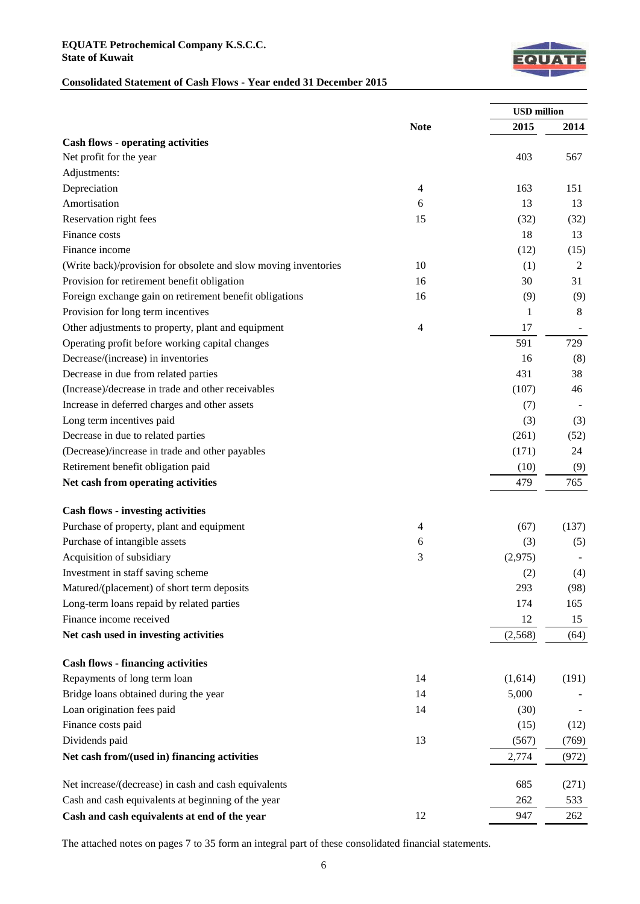# **EQUATE Petrochemical Company K.S.C.C. State of Kuwait**



# **Consolidated Statement of Cash Flows - Year ended 31 December 2015**

|                                                                 |                | <b>USD</b> million |       |
|-----------------------------------------------------------------|----------------|--------------------|-------|
|                                                                 | <b>Note</b>    | 2015               | 2014  |
| <b>Cash flows - operating activities</b>                        |                |                    |       |
| Net profit for the year                                         |                | 403                | 567   |
| Adjustments:                                                    |                |                    |       |
| Depreciation                                                    | $\overline{4}$ | 163                | 151   |
| Amortisation                                                    | 6              | 13                 | 13    |
| Reservation right fees                                          | 15             | (32)               | (32)  |
| Finance costs                                                   |                | 18                 | 13    |
| Finance income                                                  |                | (12)               | (15)  |
| (Write back)/provision for obsolete and slow moving inventories | 10             | (1)                | 2     |
| Provision for retirement benefit obligation                     | 16             | 30                 | 31    |
| Foreign exchange gain on retirement benefit obligations         | 16             | (9)                | (9)   |
| Provision for long term incentives                              |                | 1                  | 8     |
| Other adjustments to property, plant and equipment              | 4              | 17                 |       |
| Operating profit before working capital changes                 |                | 591                | 729   |
| Decrease/(increase) in inventories                              |                | 16                 | (8)   |
| Decrease in due from related parties                            |                | 431                | 38    |
| (Increase)/decrease in trade and other receivables              |                | (107)              | 46    |
| Increase in deferred charges and other assets                   |                | (7)                |       |
| Long term incentives paid                                       |                | (3)                | (3)   |
| Decrease in due to related parties                              |                | (261)              | (52)  |
| (Decrease)/increase in trade and other payables                 |                | (171)              | 24    |
| Retirement benefit obligation paid                              |                | (10)               | (9)   |
| Net cash from operating activities                              |                | 479                | 765   |
|                                                                 |                |                    |       |
| <b>Cash flows - investing activities</b>                        |                |                    |       |
| Purchase of property, plant and equipment                       | 4              | (67)               | (137) |
| Purchase of intangible assets                                   | 6              | (3)                | (5)   |
| Acquisition of subsidiary                                       | 3              | (2,975)            |       |
| Investment in staff saving scheme                               |                | (2)                | (4)   |
| Matured/(placement) of short term deposits                      |                | 293                | (98)  |
| Long-term loans repaid by related parties                       |                | 174                | 165   |
| Finance income received                                         |                | 12                 | 15    |
| Net cash used in investing activities                           |                | (2,568)            | (64)  |
| <b>Cash flows - financing activities</b>                        |                |                    |       |
| Repayments of long term loan                                    | 14             | (1,614)            | (191) |
| Bridge loans obtained during the year                           | 14             | 5,000              |       |
| Loan origination fees paid                                      | 14             | (30)               |       |
| Finance costs paid                                              |                | (15)               | (12)  |
| Dividends paid                                                  | 13             | (567)              | (769) |
| Net cash from/(used in) financing activities                    |                | 2,774              | (972) |
|                                                                 |                |                    |       |
| Net increase/(decrease) in cash and cash equivalents            |                | 685                | (271) |
| Cash and cash equivalents at beginning of the year              |                | 262                | 533   |
| Cash and cash equivalents at end of the year                    | 12             | 947                | 262   |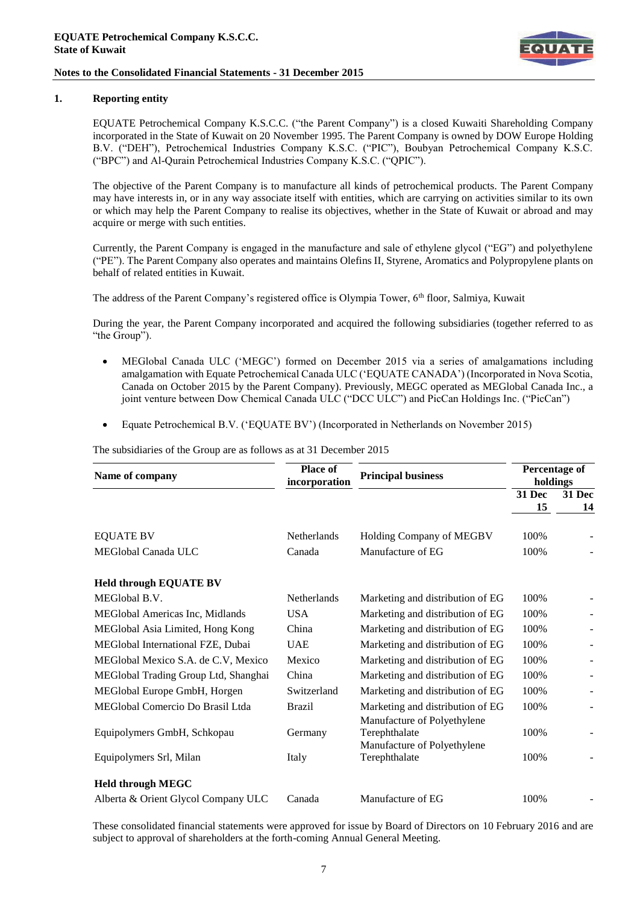

# **1. Reporting entity**

EQUATE Petrochemical Company K.S.C.C. ("the Parent Company") is a closed Kuwaiti Shareholding Company incorporated in the State of Kuwait on 20 November 1995. The Parent Company is owned by DOW Europe Holding B.V. ("DEH"), Petrochemical Industries Company K.S.C. ("PIC"), Boubyan Petrochemical Company K.S.C. ("BPC") and Al-Qurain Petrochemical Industries Company K.S.C. ("QPIC").

The objective of the Parent Company is to manufacture all kinds of petrochemical products. The Parent Company may have interests in, or in any way associate itself with entities, which are carrying on activities similar to its own or which may help the Parent Company to realise its objectives, whether in the State of Kuwait or abroad and may acquire or merge with such entities.

Currently, the Parent Company is engaged in the manufacture and sale of ethylene glycol ("EG") and polyethylene ("PE"). The Parent Company also operates and maintains Olefins II, Styrene, Aromatics and Polypropylene plants on behalf of related entities in Kuwait.

The address of the Parent Company's registered office is Olympia Tower, 6<sup>th</sup> floor, Salmiya, Kuwait

During the year, the Parent Company incorporated and acquired the following subsidiaries (together referred to as "the Group").

- MEGlobal Canada ULC ('MEGC') formed on December 2015 via a series of amalgamations including amalgamation with Equate Petrochemical Canada ULC ('EQUATE CANADA') (Incorporated in Nova Scotia, Canada on October 2015 by the Parent Company). Previously, MEGC operated as MEGlobal Canada Inc., a joint venture between Dow Chemical Canada ULC ("DCC ULC") and PicCan Holdings Inc. ("PicCan")
- Equate Petrochemical B.V. ('EQUATE BV') (Incorporated in Netherlands on November 2015)

The subsidiaries of the Group are as follows as at 31 December 2015

| Name of company                      | Place of<br>incorporation | <b>Principal business</b>                                                   | Percentage of<br>holdings |                          |
|--------------------------------------|---------------------------|-----------------------------------------------------------------------------|---------------------------|--------------------------|
|                                      |                           |                                                                             | <b>31 Dec</b><br>15       | 31 Dec<br>14             |
| <b>EQUATE BV</b>                     | Netherlands               | Holding Company of MEGBV                                                    | 100%                      |                          |
| MEGlobal Canada ULC                  | Canada                    | Manufacture of EG                                                           | 100%                      |                          |
| <b>Held through EQUATE BV</b>        |                           |                                                                             |                           |                          |
| MEGlobal B.V.                        | Netherlands               | Marketing and distribution of EG                                            | 100%                      |                          |
| MEGlobal Americas Inc, Midlands      | <b>USA</b>                | Marketing and distribution of EG                                            | 100%                      |                          |
| MEGlobal Asia Limited, Hong Kong     | China                     | Marketing and distribution of EG                                            | 100%                      | $\overline{\phantom{0}}$ |
| MEGlobal International FZE, Dubai    | <b>UAE</b>                | Marketing and distribution of EG                                            | 100%                      |                          |
| MEGlobal Mexico S.A. de C.V, Mexico  | Mexico                    | Marketing and distribution of EG                                            | 100%                      |                          |
| MEGlobal Trading Group Ltd, Shanghai | China                     | Marketing and distribution of EG                                            | 100%                      |                          |
| MEGlobal Europe GmbH, Horgen         | Switzerland               | Marketing and distribution of EG                                            | 100%                      |                          |
| MEGlobal Comercio Do Brasil Ltda     | <b>Brazil</b>             | Marketing and distribution of EG                                            | 100%                      |                          |
| Equipolymers GmbH, Schkopau          | Germany                   | Manufacture of Polyethylene<br>Terephthalate<br>Manufacture of Polyethylene | 100%                      |                          |
| Equipolymers Srl, Milan              | Italy                     | Terephthalate                                                               | 100%                      |                          |
| <b>Held through MEGC</b>             |                           |                                                                             |                           |                          |
| Alberta & Orient Glycol Company ULC  | Canada                    | Manufacture of EG                                                           | 100%                      |                          |

These consolidated financial statements were approved for issue by Board of Directors on 10 February 2016 and are subject to approval of shareholders at the forth-coming Annual General Meeting.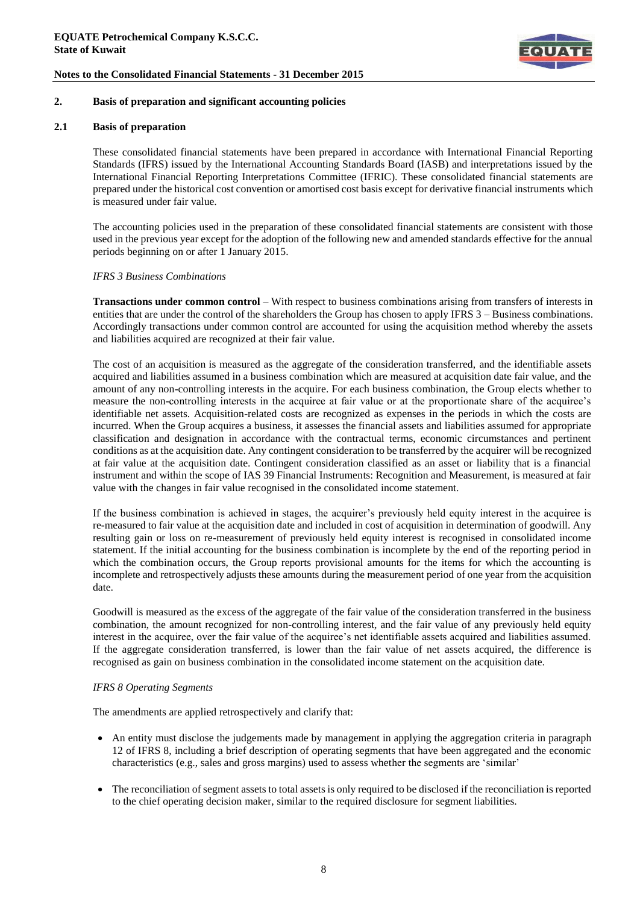

# **2. Basis of preparation and significant accounting policies**

#### **2.1 Basis of preparation**

These consolidated financial statements have been prepared in accordance with International Financial Reporting Standards (IFRS) issued by the International Accounting Standards Board (IASB) and interpretations issued by the International Financial Reporting Interpretations Committee (IFRIC). These consolidated financial statements are prepared under the historical cost convention or amortised cost basis except for derivative financial instruments which is measured under fair value.

The accounting policies used in the preparation of these consolidated financial statements are consistent with those used in the previous year except for the adoption of the following new and amended standards effective for the annual periods beginning on or after 1 January 2015.

#### *IFRS 3 Business Combinations*

**Transactions under common control** – With respect to business combinations arising from transfers of interests in entities that are under the control of the shareholders the Group has chosen to apply IFRS 3 – Business combinations. Accordingly transactions under common control are accounted for using the acquisition method whereby the assets and liabilities acquired are recognized at their fair value.

The cost of an acquisition is measured as the aggregate of the consideration transferred, and the identifiable assets acquired and liabilities assumed in a business combination which are measured at acquisition date fair value, and the amount of any non-controlling interests in the acquire. For each business combination, the Group elects whether to measure the non-controlling interests in the acquiree at fair value or at the proportionate share of the acquiree's identifiable net assets. Acquisition-related costs are recognized as expenses in the periods in which the costs are incurred. When the Group acquires a business, it assesses the financial assets and liabilities assumed for appropriate classification and designation in accordance with the contractual terms, economic circumstances and pertinent conditions as at the acquisition date. Any contingent consideration to be transferred by the acquirer will be recognized at fair value at the acquisition date. Contingent consideration classified as an asset or liability that is a financial instrument and within the scope of IAS 39 Financial Instruments: Recognition and Measurement, is measured at fair value with the changes in fair value recognised in the consolidated income statement.

If the business combination is achieved in stages, the acquirer's previously held equity interest in the acquiree is re-measured to fair value at the acquisition date and included in cost of acquisition in determination of goodwill. Any resulting gain or loss on re-measurement of previously held equity interest is recognised in consolidated income statement. If the initial accounting for the business combination is incomplete by the end of the reporting period in which the combination occurs, the Group reports provisional amounts for the items for which the accounting is incomplete and retrospectively adjusts these amounts during the measurement period of one year from the acquisition date.

Goodwill is measured as the excess of the aggregate of the fair value of the consideration transferred in the business combination, the amount recognized for non-controlling interest, and the fair value of any previously held equity interest in the acquiree, over the fair value of the acquiree's net identifiable assets acquired and liabilities assumed. If the aggregate consideration transferred, is lower than the fair value of net assets acquired, the difference is recognised as gain on business combination in the consolidated income statement on the acquisition date.

#### *IFRS 8 Operating Segments*

The amendments are applied retrospectively and clarify that:

- An entity must disclose the judgements made by management in applying the aggregation criteria in paragraph 12 of IFRS 8, including a brief description of operating segments that have been aggregated and the economic characteristics (e.g., sales and gross margins) used to assess whether the segments are 'similar'
- The reconciliation of segment assets to total assets is only required to be disclosed if the reconciliation is reported to the chief operating decision maker, similar to the required disclosure for segment liabilities.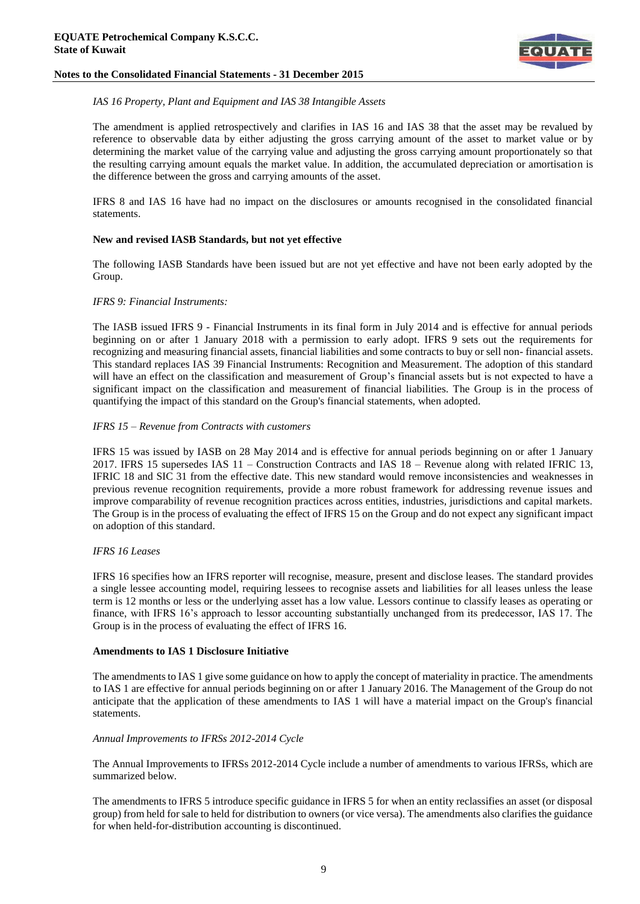

#### *IAS 16 Property, Plant and Equipment and IAS 38 Intangible Assets*

The amendment is applied retrospectively and clarifies in IAS 16 and IAS 38 that the asset may be revalued by reference to observable data by either adjusting the gross carrying amount of the asset to market value or by determining the market value of the carrying value and adjusting the gross carrying amount proportionately so that the resulting carrying amount equals the market value. In addition, the accumulated depreciation or amortisation is the difference between the gross and carrying amounts of the asset.

IFRS 8 and IAS 16 have had no impact on the disclosures or amounts recognised in the consolidated financial statements.

#### **New and revised IASB Standards, but not yet effective**

The following IASB Standards have been issued but are not yet effective and have not been early adopted by the Group.

#### *IFRS 9: Financial Instruments:*

The IASB issued IFRS 9 - Financial Instruments in its final form in July 2014 and is effective for annual periods beginning on or after 1 January 2018 with a permission to early adopt. IFRS 9 sets out the requirements for recognizing and measuring financial assets, financial liabilities and some contracts to buy or sell non- financial assets. This standard replaces IAS 39 Financial Instruments: Recognition and Measurement. The adoption of this standard will have an effect on the classification and measurement of Group's financial assets but is not expected to have a significant impact on the classification and measurement of financial liabilities. The Group is in the process of quantifying the impact of this standard on the Group's financial statements, when adopted.

#### *IFRS 15 – Revenue from Contracts with customers*

IFRS 15 was issued by IASB on 28 May 2014 and is effective for annual periods beginning on or after 1 January 2017. IFRS 15 supersedes IAS 11 – Construction Contracts and IAS 18 – Revenue along with related IFRIC 13, IFRIC 18 and SIC 31 from the effective date. This new standard would remove inconsistencies and weaknesses in previous revenue recognition requirements, provide a more robust framework for addressing revenue issues and improve comparability of revenue recognition practices across entities, industries, jurisdictions and capital markets. The Group is in the process of evaluating the effect of IFRS 15 on the Group and do not expect any significant impact on adoption of this standard.

#### *IFRS 16 Leases*

IFRS 16 specifies how an IFRS reporter will recognise, measure, present and disclose leases. The standard provides a single lessee accounting model, requiring lessees to recognise assets and liabilities for all leases unless the lease term is 12 months or less or the underlying asset has a low value. Lessors continue to classify leases as operating or finance, with IFRS 16's approach to lessor accounting substantially unchanged from its predecessor, IAS 17. The Group is in the process of evaluating the effect of IFRS 16.

#### **Amendments to IAS 1 Disclosure Initiative**

The amendments to IAS 1 give some guidance on how to apply the concept of materiality in practice. The amendments to IAS 1 are effective for annual periods beginning on or after 1 January 2016. The Management of the Group do not anticipate that the application of these amendments to IAS 1 will have a material impact on the Group's financial statements.

#### *Annual Improvements to IFRSs 2012-2014 Cycle*

The Annual Improvements to IFRSs 2012-2014 Cycle include a number of amendments to various IFRSs, which are summarized below.

The amendments to IFRS 5 introduce specific guidance in IFRS 5 for when an entity reclassifies an asset (or disposal group) from held for sale to held for distribution to owners (or vice versa). The amendments also clarifies the guidance for when held-for-distribution accounting is discontinued.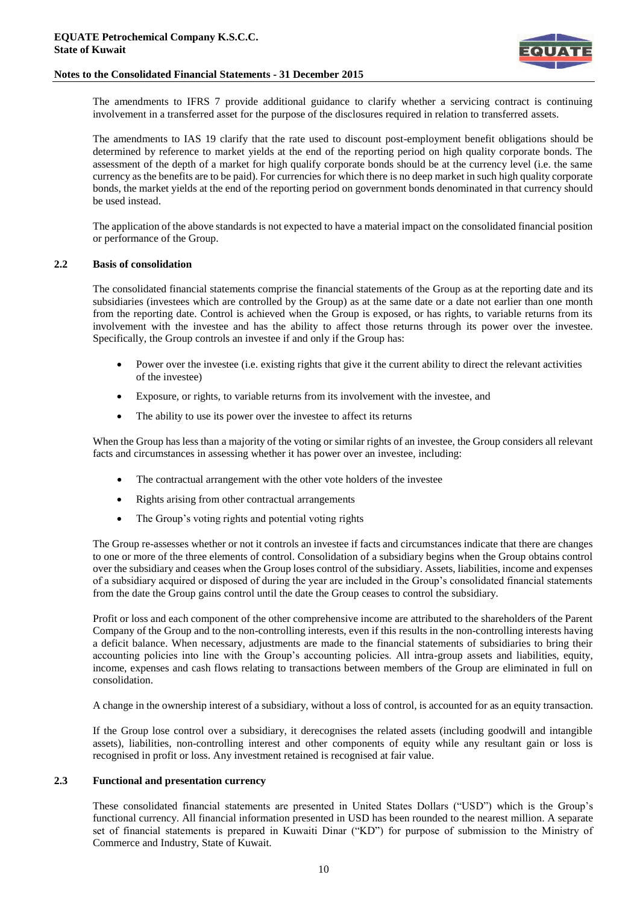

The amendments to IFRS 7 provide additional guidance to clarify whether a servicing contract is continuing involvement in a transferred asset for the purpose of the disclosures required in relation to transferred assets.

The amendments to IAS 19 clarify that the rate used to discount post-employment benefit obligations should be determined by reference to market yields at the end of the reporting period on high quality corporate bonds. The assessment of the depth of a market for high qualify corporate bonds should be at the currency level (i.e. the same currency as the benefits are to be paid). For currencies for which there is no deep market in such high quality corporate bonds, the market yields at the end of the reporting period on government bonds denominated in that currency should be used instead.

The application of the above standards is not expected to have a material impact on the consolidated financial position or performance of the Group.

## **2.2 Basis of consolidation**

The consolidated financial statements comprise the financial statements of the Group as at the reporting date and its subsidiaries (investees which are controlled by the Group) as at the same date or a date not earlier than one month from the reporting date. Control is achieved when the Group is exposed, or has rights, to variable returns from its involvement with the investee and has the ability to affect those returns through its power over the investee. Specifically, the Group controls an investee if and only if the Group has:

- Power over the investee (i.e. existing rights that give it the current ability to direct the relevant activities of the investee)
- Exposure, or rights, to variable returns from its involvement with the investee, and
- The ability to use its power over the investee to affect its returns

When the Group has less than a majority of the voting or similar rights of an investee, the Group considers all relevant facts and circumstances in assessing whether it has power over an investee, including:

- The contractual arrangement with the other vote holders of the investee
- Rights arising from other contractual arrangements
- The Group's voting rights and potential voting rights

The Group re-assesses whether or not it controls an investee if facts and circumstances indicate that there are changes to one or more of the three elements of control. Consolidation of a subsidiary begins when the Group obtains control over the subsidiary and ceases when the Group loses control of the subsidiary. Assets, liabilities, income and expenses of a subsidiary acquired or disposed of during the year are included in the Group's consolidated financial statements from the date the Group gains control until the date the Group ceases to control the subsidiary.

Profit or loss and each component of the other comprehensive income are attributed to the shareholders of the Parent Company of the Group and to the non-controlling interests, even if this results in the non-controlling interests having a deficit balance. When necessary, adjustments are made to the financial statements of subsidiaries to bring their accounting policies into line with the Group's accounting policies. All intra-group assets and liabilities, equity, income, expenses and cash flows relating to transactions between members of the Group are eliminated in full on consolidation.

A change in the ownership interest of a subsidiary, without a loss of control, is accounted for as an equity transaction.

If the Group lose control over a subsidiary, it derecognises the related assets (including goodwill and intangible assets), liabilities, non-controlling interest and other components of equity while any resultant gain or loss is recognised in profit or loss. Any investment retained is recognised at fair value.

## **2.3 Functional and presentation currency**

These consolidated financial statements are presented in United States Dollars ("USD") which is the Group's functional currency. All financial information presented in USD has been rounded to the nearest million. A separate set of financial statements is prepared in Kuwaiti Dinar ("KD") for purpose of submission to the Ministry of Commerce and Industry, State of Kuwait.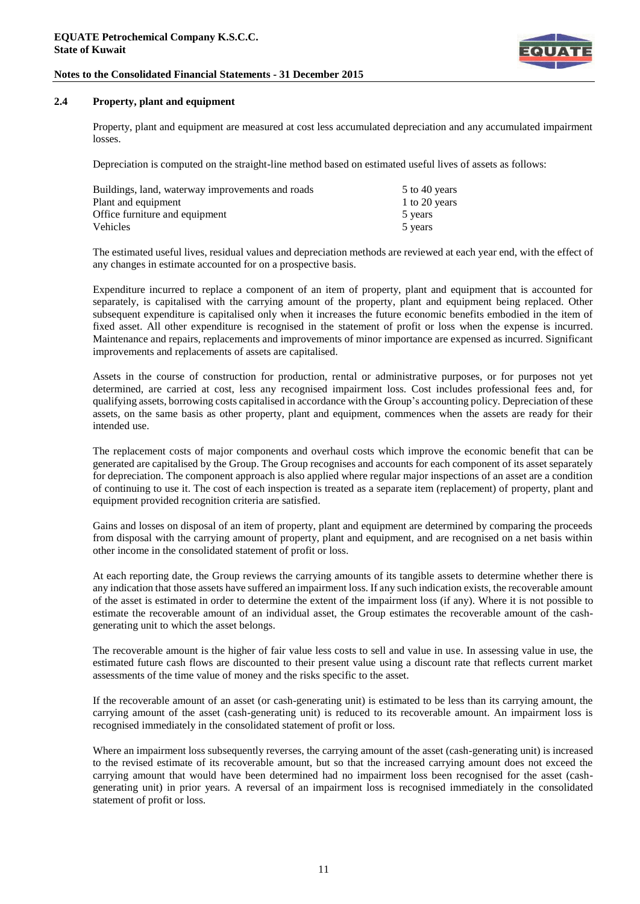

#### **2.4 Property, plant and equipment**

Property, plant and equipment are measured at cost less accumulated depreciation and any accumulated impairment losses.

Depreciation is computed on the straight-line method based on estimated useful lives of assets as follows:

| Buildings, land, waterway improvements and roads | 5 to 40 years |
|--------------------------------------------------|---------------|
| Plant and equipment                              | 1 to 20 years |
| Office furniture and equipment                   | 5 years       |
| Vehicles                                         | 5 years       |

The estimated useful lives, residual values and depreciation methods are reviewed at each year end, with the effect of any changes in estimate accounted for on a prospective basis.

Expenditure incurred to replace a component of an item of property, plant and equipment that is accounted for separately, is capitalised with the carrying amount of the property, plant and equipment being replaced. Other subsequent expenditure is capitalised only when it increases the future economic benefits embodied in the item of fixed asset. All other expenditure is recognised in the statement of profit or loss when the expense is incurred. Maintenance and repairs, replacements and improvements of minor importance are expensed as incurred. Significant improvements and replacements of assets are capitalised.

Assets in the course of construction for production, rental or administrative purposes, or for purposes not yet determined, are carried at cost, less any recognised impairment loss. Cost includes professional fees and, for qualifying assets, borrowing costs capitalised in accordance with the Group's accounting policy. Depreciation of these assets, on the same basis as other property, plant and equipment, commences when the assets are ready for their intended use.

The replacement costs of major components and overhaul costs which improve the economic benefit that can be generated are capitalised by the Group. The Group recognises and accounts for each component of its asset separately for depreciation. The component approach is also applied where regular major inspections of an asset are a condition of continuing to use it. The cost of each inspection is treated as a separate item (replacement) of property, plant and equipment provided recognition criteria are satisfied.

Gains and losses on disposal of an item of property, plant and equipment are determined by comparing the proceeds from disposal with the carrying amount of property, plant and equipment, and are recognised on a net basis within other income in the consolidated statement of profit or loss.

At each reporting date, the Group reviews the carrying amounts of its tangible assets to determine whether there is any indication that those assets have suffered an impairment loss. If any such indication exists, the recoverable amount of the asset is estimated in order to determine the extent of the impairment loss (if any). Where it is not possible to estimate the recoverable amount of an individual asset, the Group estimates the recoverable amount of the cashgenerating unit to which the asset belongs.

The recoverable amount is the higher of fair value less costs to sell and value in use. In assessing value in use, the estimated future cash flows are discounted to their present value using a discount rate that reflects current market assessments of the time value of money and the risks specific to the asset.

If the recoverable amount of an asset (or cash-generating unit) is estimated to be less than its carrying amount, the carrying amount of the asset (cash-generating unit) is reduced to its recoverable amount. An impairment loss is recognised immediately in the consolidated statement of profit or loss.

Where an impairment loss subsequently reverses, the carrying amount of the asset (cash-generating unit) is increased to the revised estimate of its recoverable amount, but so that the increased carrying amount does not exceed the carrying amount that would have been determined had no impairment loss been recognised for the asset (cashgenerating unit) in prior years. A reversal of an impairment loss is recognised immediately in the consolidated statement of profit or loss.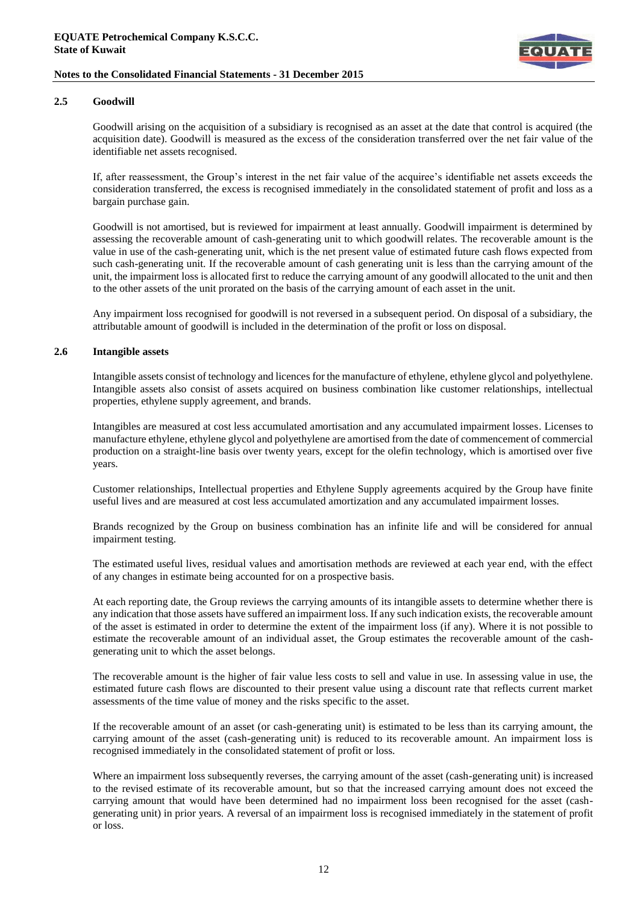![](_page_13_Picture_1.jpeg)

## **2.5 Goodwill**

Goodwill arising on the acquisition of a subsidiary is recognised as an asset at the date that control is acquired (the acquisition date). Goodwill is measured as the excess of the consideration transferred over the net fair value of the identifiable net assets recognised.

If, after reassessment, the Group's interest in the net fair value of the acquiree's identifiable net assets exceeds the consideration transferred, the excess is recognised immediately in the consolidated statement of profit and loss as a bargain purchase gain.

Goodwill is not amortised, but is reviewed for impairment at least annually. Goodwill impairment is determined by assessing the recoverable amount of cash-generating unit to which goodwill relates. The recoverable amount is the value in use of the cash-generating unit, which is the net present value of estimated future cash flows expected from such cash-generating unit. If the recoverable amount of cash generating unit is less than the carrying amount of the unit, the impairment loss is allocated first to reduce the carrying amount of any goodwill allocated to the unit and then to the other assets of the unit prorated on the basis of the carrying amount of each asset in the unit.

Any impairment loss recognised for goodwill is not reversed in a subsequent period. On disposal of a subsidiary, the attributable amount of goodwill is included in the determination of the profit or loss on disposal.

## **2.6 Intangible assets**

Intangible assets consist of technology and licences for the manufacture of ethylene, ethylene glycol and polyethylene. Intangible assets also consist of assets acquired on business combination like customer relationships, intellectual properties, ethylene supply agreement, and brands.

Intangibles are measured at cost less accumulated amortisation and any accumulated impairment losses. Licenses to manufacture ethylene, ethylene glycol and polyethylene are amortised from the date of commencement of commercial production on a straight-line basis over twenty years, except for the olefin technology, which is amortised over five years.

Customer relationships, Intellectual properties and Ethylene Supply agreements acquired by the Group have finite useful lives and are measured at cost less accumulated amortization and any accumulated impairment losses.

Brands recognized by the Group on business combination has an infinite life and will be considered for annual impairment testing.

The estimated useful lives, residual values and amortisation methods are reviewed at each year end, with the effect of any changes in estimate being accounted for on a prospective basis.

At each reporting date, the Group reviews the carrying amounts of its intangible assets to determine whether there is any indication that those assets have suffered an impairment loss. If any such indication exists, the recoverable amount of the asset is estimated in order to determine the extent of the impairment loss (if any). Where it is not possible to estimate the recoverable amount of an individual asset, the Group estimates the recoverable amount of the cashgenerating unit to which the asset belongs.

The recoverable amount is the higher of fair value less costs to sell and value in use. In assessing value in use, the estimated future cash flows are discounted to their present value using a discount rate that reflects current market assessments of the time value of money and the risks specific to the asset.

If the recoverable amount of an asset (or cash-generating unit) is estimated to be less than its carrying amount, the carrying amount of the asset (cash-generating unit) is reduced to its recoverable amount. An impairment loss is recognised immediately in the consolidated statement of profit or loss.

Where an impairment loss subsequently reverses, the carrying amount of the asset (cash-generating unit) is increased to the revised estimate of its recoverable amount, but so that the increased carrying amount does not exceed the carrying amount that would have been determined had no impairment loss been recognised for the asset (cashgenerating unit) in prior years. A reversal of an impairment loss is recognised immediately in the statement of profit or loss.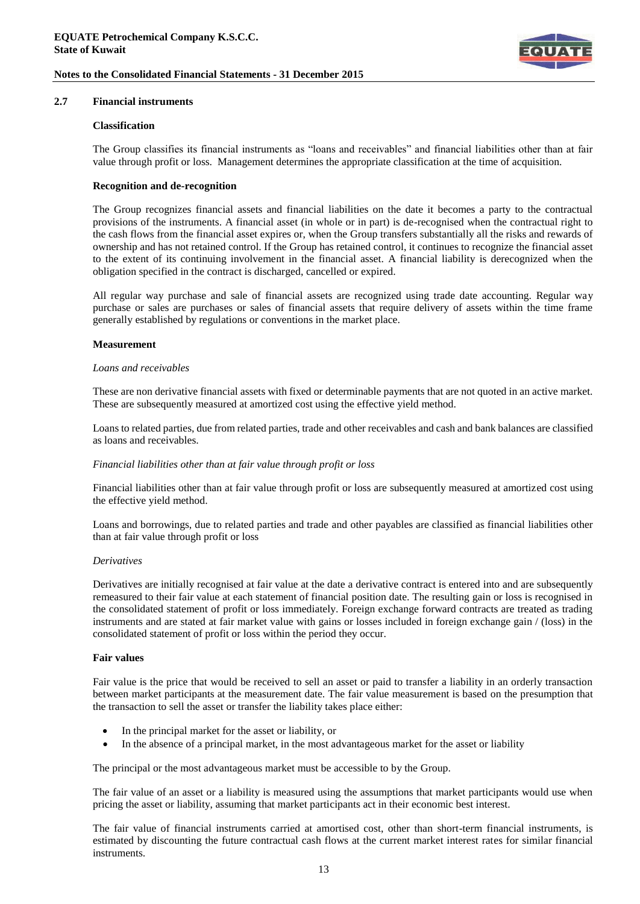![](_page_14_Picture_1.jpeg)

#### **2.7 Financial instruments**

#### **Classification**

The Group classifies its financial instruments as "loans and receivables" and financial liabilities other than at fair value through profit or loss. Management determines the appropriate classification at the time of acquisition.

#### **Recognition and de-recognition**

The Group recognizes financial assets and financial liabilities on the date it becomes a party to the contractual provisions of the instruments. A financial asset (in whole or in part) is de-recognised when the contractual right to the cash flows from the financial asset expires or, when the Group transfers substantially all the risks and rewards of ownership and has not retained control. If the Group has retained control, it continues to recognize the financial asset to the extent of its continuing involvement in the financial asset. A financial liability is derecognized when the obligation specified in the contract is discharged, cancelled or expired.

All regular way purchase and sale of financial assets are recognized using trade date accounting. Regular way purchase or sales are purchases or sales of financial assets that require delivery of assets within the time frame generally established by regulations or conventions in the market place.

#### **Measurement**

#### *Loans and receivables*

These are non derivative financial assets with fixed or determinable payments that are not quoted in an active market. These are subsequently measured at amortized cost using the effective yield method.

Loans to related parties, due from related parties, trade and other receivables and cash and bank balances are classified as loans and receivables.

#### *Financial liabilities other than at fair value through profit or loss*

Financial liabilities other than at fair value through profit or loss are subsequently measured at amortized cost using the effective yield method.

Loans and borrowings, due to related parties and trade and other payables are classified as financial liabilities other than at fair value through profit or loss

#### *Derivatives*

Derivatives are initially recognised at fair value at the date a derivative contract is entered into and are subsequently remeasured to their fair value at each statement of financial position date. The resulting gain or loss is recognised in the consolidated statement of profit or loss immediately. Foreign exchange forward contracts are treated as trading instruments and are stated at fair market value with gains or losses included in foreign exchange gain / (loss) in the consolidated statement of profit or loss within the period they occur.

#### **Fair values**

Fair value is the price that would be received to sell an asset or paid to transfer a liability in an orderly transaction between market participants at the measurement date. The fair value measurement is based on the presumption that the transaction to sell the asset or transfer the liability takes place either:

- In the principal market for the asset or liability, or
- In the absence of a principal market, in the most advantageous market for the asset or liability

The principal or the most advantageous market must be accessible to by the Group.

The fair value of an asset or a liability is measured using the assumptions that market participants would use when pricing the asset or liability, assuming that market participants act in their economic best interest.

The fair value of financial instruments carried at amortised cost, other than short-term financial instruments, is estimated by discounting the future contractual cash flows at the current market interest rates for similar financial instruments.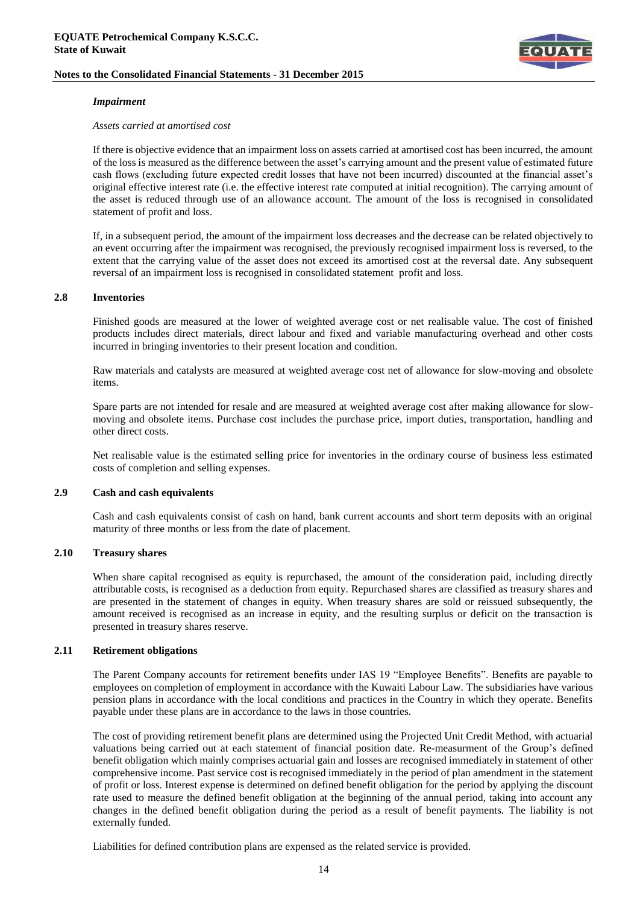![](_page_15_Picture_1.jpeg)

#### *Impairment*

#### *Assets carried at amortised cost*

If there is objective evidence that an impairment loss on assets carried at amortised cost has been incurred, the amount of the loss is measured as the difference between the asset's carrying amount and the present value of estimated future cash flows (excluding future expected credit losses that have not been incurred) discounted at the financial asset's original effective interest rate (i.e. the effective interest rate computed at initial recognition). The carrying amount of the asset is reduced through use of an allowance account. The amount of the loss is recognised in consolidated statement of profit and loss.

If, in a subsequent period, the amount of the impairment loss decreases and the decrease can be related objectively to an event occurring after the impairment was recognised, the previously recognised impairment loss is reversed, to the extent that the carrying value of the asset does not exceed its amortised cost at the reversal date. Any subsequent reversal of an impairment loss is recognised in consolidated statement profit and loss.

#### **2.8 Inventories**

Finished goods are measured at the lower of weighted average cost or net realisable value. The cost of finished products includes direct materials, direct labour and fixed and variable manufacturing overhead and other costs incurred in bringing inventories to their present location and condition.

Raw materials and catalysts are measured at weighted average cost net of allowance for slow-moving and obsolete items.

Spare parts are not intended for resale and are measured at weighted average cost after making allowance for slowmoving and obsolete items. Purchase cost includes the purchase price, import duties, transportation, handling and other direct costs.

Net realisable value is the estimated selling price for inventories in the ordinary course of business less estimated costs of completion and selling expenses.

#### **2.9 Cash and cash equivalents**

Cash and cash equivalents consist of cash on hand, bank current accounts and short term deposits with an original maturity of three months or less from the date of placement.

### **2.10 Treasury shares**

When share capital recognised as equity is repurchased, the amount of the consideration paid, including directly attributable costs, is recognised as a deduction from equity. Repurchased shares are classified as treasury shares and are presented in the statement of changes in equity. When treasury shares are sold or reissued subsequently, the amount received is recognised as an increase in equity, and the resulting surplus or deficit on the transaction is presented in treasury shares reserve.

#### **2.11 Retirement obligations**

The Parent Company accounts for retirement benefits under IAS 19 "Employee Benefits". Benefits are payable to employees on completion of employment in accordance with the Kuwaiti Labour Law. The subsidiaries have various pension plans in accordance with the local conditions and practices in the Country in which they operate. Benefits payable under these plans are in accordance to the laws in those countries.

The cost of providing retirement benefit plans are determined using the Projected Unit Credit Method, with actuarial valuations being carried out at each statement of financial position date. Re-measurment of the Group's defined benefit obligation which mainly comprises actuarial gain and losses are recognised immediately in statement of other comprehensive income. Past service cost is recognised immediately in the period of plan amendment in the statement of profit or loss. Interest expense is determined on defined benefit obligation for the period by applying the discount rate used to measure the defined benefit obligation at the beginning of the annual period, taking into account any changes in the defined benefit obligation during the period as a result of benefit payments. The liability is not externally funded.

Liabilities for defined contribution plans are expensed as the related service is provided.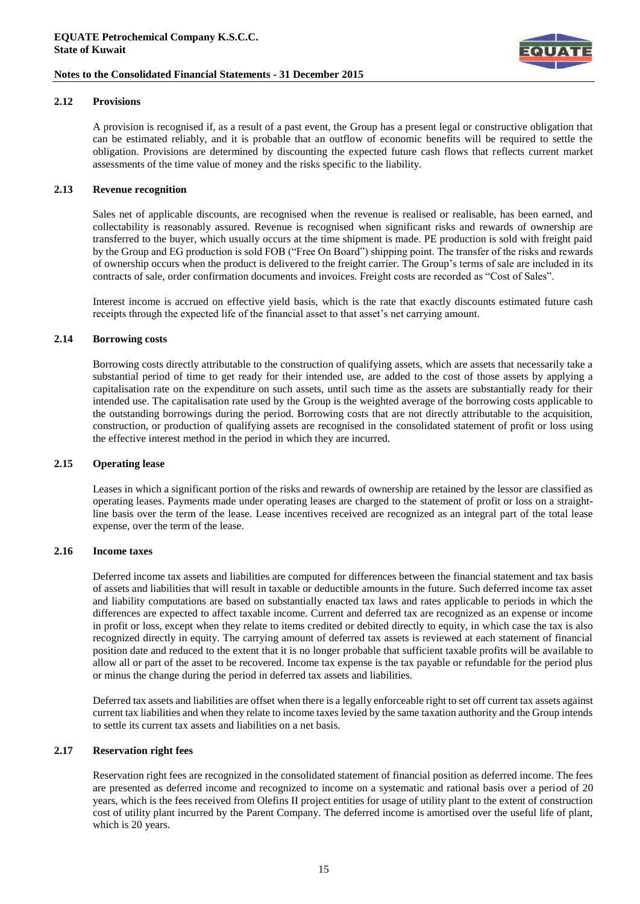![](_page_16_Picture_2.jpeg)

#### **2.12 Provisions**

A provision is recognised if, as a result of a past event, the Group has a present legal or constructive obligation that can be estimated reliably, and it is probable that an outflow of economic benefits will be required to settle the obligation. Provisions are determined by discounting the expected future cash flows that reflects current market assessments of the time value of money and the risks specific to the liability.

#### **2.13 Revenue recognition**

Sales net of applicable discounts, are recognised when the revenue is realised or realisable, has been earned, and collectability is reasonably assured. Revenue is recognised when significant risks and rewards of ownership are transferred to the buyer, which usually occurs at the time shipment is made. PE production is sold with freight paid by the Group and EG production is sold FOB ("Free On Board") shipping point. The transfer of the risks and rewards of ownership occurs when the product is delivered to the freight carrier. The Group's terms of sale are included in its contracts of sale, order confirmation documents and invoices. Freight costs are recorded as "Cost of Sales".

Interest income is accrued on effective yield basis, which is the rate that exactly discounts estimated future cash receipts through the expected life of the financial asset to that asset's net carrying amount.

#### **2.14 Borrowing costs**

Borrowing costs directly attributable to the construction of qualifying assets, which are assets that necessarily take a substantial period of time to get ready for their intended use, are added to the cost of those assets by applying a capitalisation rate on the expenditure on such assets, until such time as the assets are substantially ready for their intended use. The capitalisation rate used by the Group is the weighted average of the borrowing costs applicable to the outstanding borrowings during the period. Borrowing costs that are not directly attributable to the acquisition, construction, or production of qualifying assets are recognised in the consolidated statement of profit or loss using the effective interest method in the period in which they are incurred.

#### **2.15 Operating lease**

Leases in which a significant portion of the risks and rewards of ownership are retained by the lessor are classified as operating leases. Payments made under operating leases are charged to the statement of profit or loss on a straightline basis over the term of the lease. Lease incentives received are recognized as an integral part of the total lease expense, over the term of the lease.

#### **2.16 Income taxes**

Deferred income tax assets and liabilities are computed for differences between the financial statement and tax basis of assets and liabilities that will result in taxable or deductible amounts in the future. Such deferred income tax asset and liability computations are based on substantially enacted tax laws and rates applicable to periods in which the differences are expected to affect taxable income. Current and deferred tax are recognized as an expense or income in profit or loss, except when they relate to items credited or debited directly to equity, in which case the tax is also recognized directly in equity. The carrying amount of deferred tax assets is reviewed at each statement of financial position date and reduced to the extent that it is no longer probable that sufficient taxable profits will be available to allow all or part of the asset to be recovered. Income tax expense is the tax payable or refundable for the period plus or minus the change during the period in deferred tax assets and liabilities.

Deferred tax assets and liabilities are offset when there is a legally enforceable right to set off current tax assets against current tax liabilities and when they relate to income taxes levied by the same taxation authority and the Group intends to settle its current tax assets and liabilities on a net basis.

#### **2.17 Reservation right fees**

Reservation right fees are recognized in the consolidated statement of financial position as deferred income. The fees are presented as deferred income and recognized to income on a systematic and rational basis over a period of 20 years, which is the fees received from Olefins II project entities for usage of utility plant to the extent of construction cost of utility plant incurred by the Parent Company. The deferred income is amortised over the useful life of plant, which is 20 years.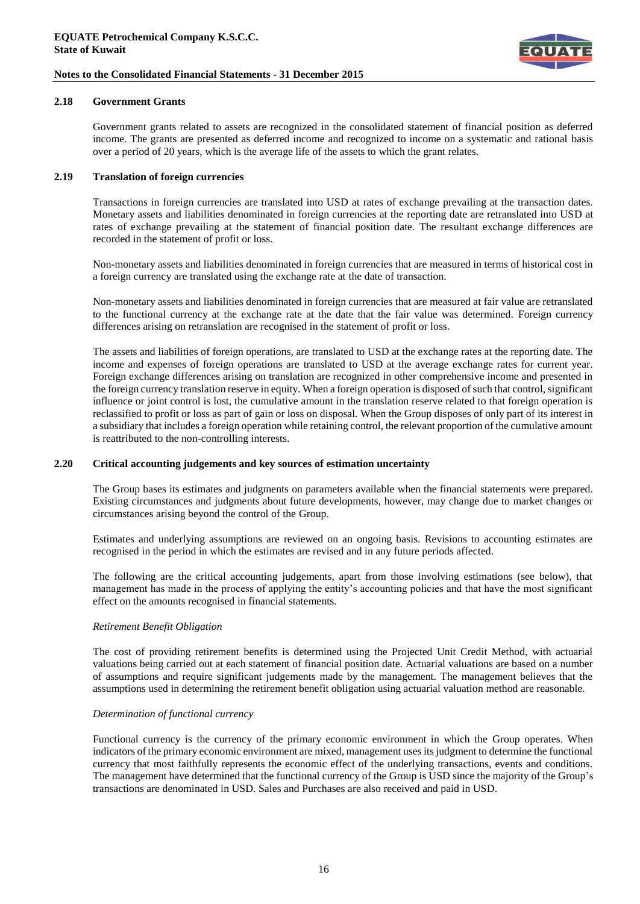![](_page_17_Picture_1.jpeg)

#### **2.18 Government Grants**

Government grants related to assets are recognized in the consolidated statement of financial position as deferred income. The grants are presented as deferred income and recognized to income on a systematic and rational basis over a period of 20 years, which is the average life of the assets to which the grant relates.

#### **2.19 Translation of foreign currencies**

Transactions in foreign currencies are translated into USD at rates of exchange prevailing at the transaction dates. Monetary assets and liabilities denominated in foreign currencies at the reporting date are retranslated into USD at rates of exchange prevailing at the statement of financial position date. The resultant exchange differences are recorded in the statement of profit or loss.

Non-monetary assets and liabilities denominated in foreign currencies that are measured in terms of historical cost in a foreign currency are translated using the exchange rate at the date of transaction.

Non-monetary assets and liabilities denominated in foreign currencies that are measured at fair value are retranslated to the functional currency at the exchange rate at the date that the fair value was determined. Foreign currency differences arising on retranslation are recognised in the statement of profit or loss.

The assets and liabilities of foreign operations, are translated to USD at the exchange rates at the reporting date. The income and expenses of foreign operations are translated to USD at the average exchange rates for current year. Foreign exchange differences arising on translation are recognized in other comprehensive income and presented in the foreign currency translation reserve in equity. When a foreign operation is disposed of such that control, significant influence or joint control is lost, the cumulative amount in the translation reserve related to that foreign operation is reclassified to profit or loss as part of gain or loss on disposal. When the Group disposes of only part of its interest in a subsidiary that includes a foreign operation while retaining control, the relevant proportion of the cumulative amount is reattributed to the non-controlling interests.

#### **2.20 Critical accounting judgements and key sources of estimation uncertainty**

The Group bases its estimates and judgments on parameters available when the financial statements were prepared. Existing circumstances and judgments about future developments, however, may change due to market changes or circumstances arising beyond the control of the Group.

Estimates and underlying assumptions are reviewed on an ongoing basis. Revisions to accounting estimates are recognised in the period in which the estimates are revised and in any future periods affected.

The following are the critical accounting judgements, apart from those involving estimations (see below), that management has made in the process of applying the entity's accounting policies and that have the most significant effect on the amounts recognised in financial statements.

## *Retirement Benefit Obligation*

The cost of providing retirement benefits is determined using the Projected Unit Credit Method, with actuarial valuations being carried out at each statement of financial position date. Actuarial valuations are based on a number of assumptions and require significant judgements made by the management. The management believes that the assumptions used in determining the retirement benefit obligation using actuarial valuation method are reasonable.

#### *Determination of functional currency*

Functional currency is the currency of the primary economic environment in which the Group operates. When indicators of the primary economic environment are mixed, management uses its judgment to determine the functional currency that most faithfully represents the economic effect of the underlying transactions, events and conditions. The management have determined that the functional currency of the Group is USD since the majority of the Group's transactions are denominated in USD. Sales and Purchases are also received and paid in USD.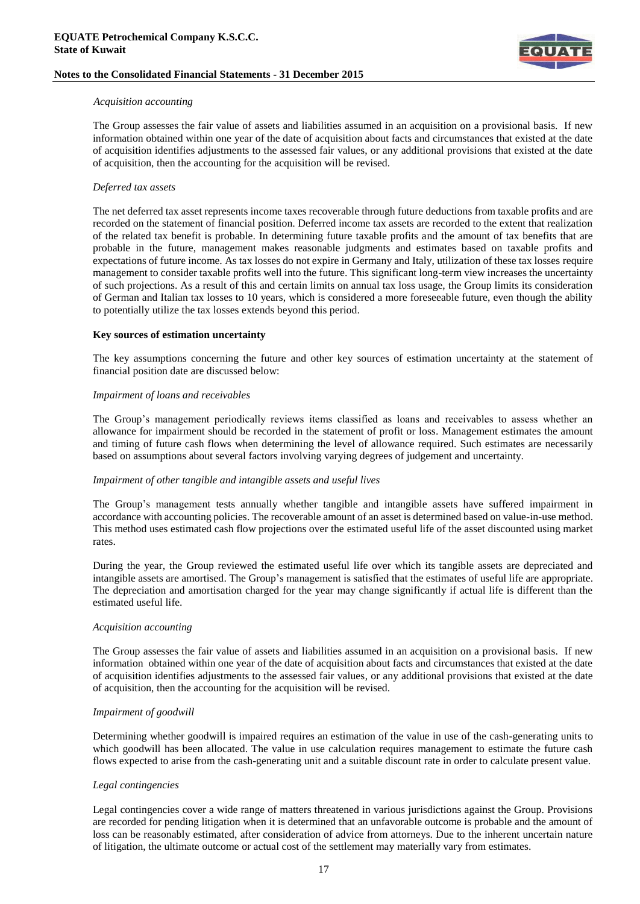![](_page_18_Picture_1.jpeg)

#### *Acquisition accounting*

The Group assesses the fair value of assets and liabilities assumed in an acquisition on a provisional basis. If new information obtained within one year of the date of acquisition about facts and circumstances that existed at the date of acquisition identifies adjustments to the assessed fair values, or any additional provisions that existed at the date of acquisition, then the accounting for the acquisition will be revised.

#### *Deferred tax assets*

The net deferred tax asset represents income taxes recoverable through future deductions from taxable profits and are recorded on the statement of financial position. Deferred income tax assets are recorded to the extent that realization of the related tax benefit is probable. In determining future taxable profits and the amount of tax benefits that are probable in the future, management makes reasonable judgments and estimates based on taxable profits and expectations of future income. As tax losses do not expire in Germany and Italy, utilization of these tax losses require management to consider taxable profits well into the future. This significant long-term view increases the uncertainty of such projections. As a result of this and certain limits on annual tax loss usage, the Group limits its consideration of German and Italian tax losses to 10 years, which is considered a more foreseeable future, even though the ability to potentially utilize the tax losses extends beyond this period.

#### **Key sources of estimation uncertainty**

The key assumptions concerning the future and other key sources of estimation uncertainty at the statement of financial position date are discussed below:

#### *Impairment of loans and receivables*

The Group's management periodically reviews items classified as loans and receivables to assess whether an allowance for impairment should be recorded in the statement of profit or loss. Management estimates the amount and timing of future cash flows when determining the level of allowance required. Such estimates are necessarily based on assumptions about several factors involving varying degrees of judgement and uncertainty.

## *Impairment of other tangible and intangible assets and useful lives*

The Group's management tests annually whether tangible and intangible assets have suffered impairment in accordance with accounting policies. The recoverable amount of an asset is determined based on value-in-use method. This method uses estimated cash flow projections over the estimated useful life of the asset discounted using market rates.

During the year, the Group reviewed the estimated useful life over which its tangible assets are depreciated and intangible assets are amortised. The Group's management is satisfied that the estimates of useful life are appropriate. The depreciation and amortisation charged for the year may change significantly if actual life is different than the estimated useful life.

#### *Acquisition accounting*

The Group assesses the fair value of assets and liabilities assumed in an acquisition on a provisional basis. If new information obtained within one year of the date of acquisition about facts and circumstances that existed at the date of acquisition identifies adjustments to the assessed fair values, or any additional provisions that existed at the date of acquisition, then the accounting for the acquisition will be revised.

## *Impairment of goodwill*

Determining whether goodwill is impaired requires an estimation of the value in use of the cash-generating units to which goodwill has been allocated. The value in use calculation requires management to estimate the future cash flows expected to arise from the cash-generating unit and a suitable discount rate in order to calculate present value.

#### *Legal contingencies*

Legal contingencies cover a wide range of matters threatened in various jurisdictions against the Group. Provisions are recorded for pending litigation when it is determined that an unfavorable outcome is probable and the amount of loss can be reasonably estimated, after consideration of advice from attorneys. Due to the inherent uncertain nature of litigation, the ultimate outcome or actual cost of the settlement may materially vary from estimates.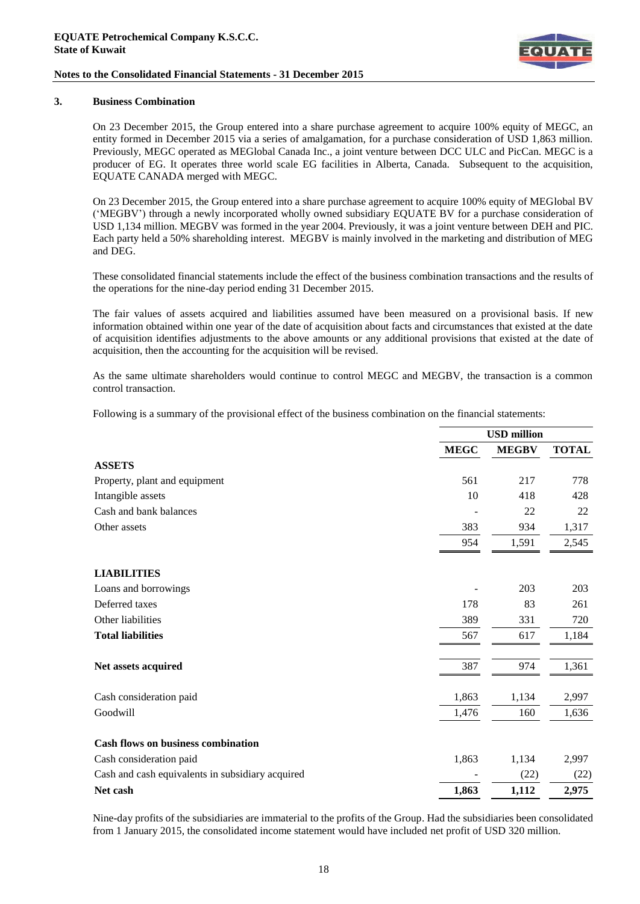![](_page_19_Picture_1.jpeg)

#### **3. Business Combination**

On 23 December 2015, the Group entered into a share purchase agreement to acquire 100% equity of MEGC, an entity formed in December 2015 via a series of amalgamation, for a purchase consideration of USD 1,863 million. Previously, MEGC operated as MEGlobal Canada Inc., a joint venture between DCC ULC and PicCan. MEGC is a producer of EG. It operates three world scale EG facilities in Alberta, Canada. Subsequent to the acquisition, EQUATE CANADA merged with MEGC.

On 23 December 2015, the Group entered into a share purchase agreement to acquire 100% equity of MEGlobal BV ('MEGBV') through a newly incorporated wholly owned subsidiary EQUATE BV for a purchase consideration of USD 1,134 million. MEGBV was formed in the year 2004. Previously, it was a joint venture between DEH and PIC. Each party held a 50% shareholding interest. MEGBV is mainly involved in the marketing and distribution of MEG and DEG.

These consolidated financial statements include the effect of the business combination transactions and the results of the operations for the nine-day period ending 31 December 2015.

The fair values of assets acquired and liabilities assumed have been measured on a provisional basis. If new information obtained within one year of the date of acquisition about facts and circumstances that existed at the date of acquisition identifies adjustments to the above amounts or any additional provisions that existed at the date of acquisition, then the accounting for the acquisition will be revised.

As the same ultimate shareholders would continue to control MEGC and MEGBV, the transaction is a common control transaction.

Following is a summary of the provisional effect of the business combination on the financial statements:

|                                                  |             | <b>USD</b> million |              |  |
|--------------------------------------------------|-------------|--------------------|--------------|--|
|                                                  | <b>MEGC</b> | <b>MEGBV</b>       | <b>TOTAL</b> |  |
| <b>ASSETS</b>                                    |             |                    |              |  |
| Property, plant and equipment                    | 561         | 217                | 778          |  |
| Intangible assets                                | 10          | 418                | 428          |  |
| Cash and bank balances                           |             | 22                 | 22           |  |
| Other assets                                     | 383         | 934                | 1,317        |  |
|                                                  | 954         | 1,591              | 2,545        |  |
| <b>LIABILITIES</b>                               |             |                    |              |  |
| Loans and borrowings                             |             | 203                | 203          |  |
| Deferred taxes                                   | 178         | 83                 | 261          |  |
| Other liabilities                                | 389         | 331                | 720          |  |
| <b>Total liabilities</b>                         | 567         | 617                | 1,184        |  |
| Net assets acquired                              | 387         | 974                | 1,361        |  |
| Cash consideration paid                          | 1,863       | 1,134              | 2,997        |  |
| Goodwill                                         | 1,476       | 160                | 1,636        |  |
| <b>Cash flows on business combination</b>        |             |                    |              |  |
| Cash consideration paid                          | 1,863       | 1,134              | 2,997        |  |
| Cash and cash equivalents in subsidiary acquired |             | (22)               | (22)         |  |
| Net cash                                         | 1,863       | 1,112              | 2,975        |  |

Nine-day profits of the subsidiaries are immaterial to the profits of the Group. Had the subsidiaries been consolidated from 1 January 2015, the consolidated income statement would have included net profit of USD 320 million.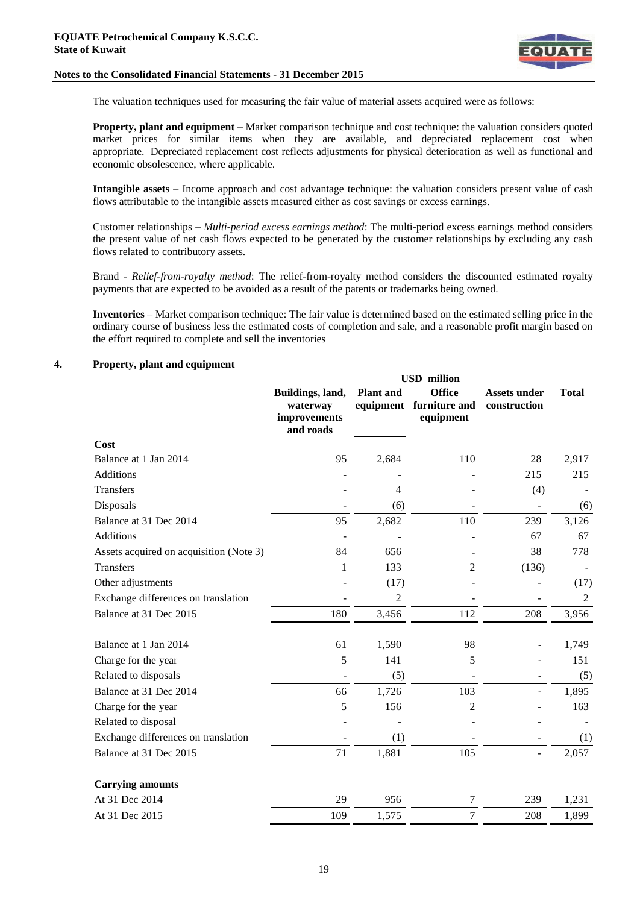![](_page_20_Picture_1.jpeg)

The valuation techniques used for measuring the fair value of material assets acquired were as follows:

**Property, plant and equipment** – Market comparison technique and cost technique: the valuation considers quoted market prices for similar items when they are available, and depreciated replacement cost when appropriate. Depreciated replacement cost reflects adjustments for physical deterioration as well as functional and economic obsolescence, where applicable.

**Intangible assets** – Income approach and cost advantage technique: the valuation considers present value of cash flows attributable to the intangible assets measured either as cost savings or excess earnings.

Customer relationships **–** *Multi-period excess earnings method*: The multi-period excess earnings method considers the present value of net cash flows expected to be generated by the customer relationships by excluding any cash flows related to contributory assets.

Brand - *Relief-from-royalty method*: The relief-from-royalty method considers the discounted estimated royalty payments that are expected to be avoided as a result of the patents or trademarks being owned.

**Inventories** – Market comparison technique: The fair value is determined based on the estimated selling price in the ordinary course of business less the estimated costs of completion and sale, and a reasonable profit margin based on the effort required to complete and sell the inventories

## **4. Property, plant and equipment**

|                                         | <b>USD</b> million                                        |                  |                                                       |                                     |              |
|-----------------------------------------|-----------------------------------------------------------|------------------|-------------------------------------------------------|-------------------------------------|--------------|
|                                         | Buildings, land,<br>waterway<br>improvements<br>and roads | <b>Plant</b> and | <b>Office</b><br>equipment furniture and<br>equipment | <b>Assets under</b><br>construction | <b>Total</b> |
| Cost                                    |                                                           |                  |                                                       |                                     |              |
| Balance at 1 Jan 2014                   | 95                                                        | 2,684            | 110                                                   | 28                                  | 2,917        |
| <b>Additions</b>                        |                                                           |                  |                                                       | 215                                 | 215          |
| <b>Transfers</b>                        |                                                           | $\overline{4}$   |                                                       | (4)                                 |              |
| Disposals                               |                                                           | (6)              |                                                       |                                     | (6)          |
| Balance at 31 Dec 2014                  | 95                                                        | 2,682            | 110                                                   | 239                                 | 3,126        |
| Additions                               |                                                           |                  |                                                       | 67                                  | 67           |
| Assets acquired on acquisition (Note 3) | 84                                                        | 656              |                                                       | 38                                  | 778          |
| Transfers                               | 1                                                         | 133              | 2                                                     | (136)                               |              |
| Other adjustments                       |                                                           | (17)             |                                                       |                                     | (17)         |
| Exchange differences on translation     |                                                           | $\boldsymbol{2}$ |                                                       |                                     | 2            |
| Balance at 31 Dec 2015                  | 180                                                       | 3,456            | 112                                                   | 208                                 | 3,956        |
| Balance at 1 Jan 2014                   | 61                                                        | 1,590            | 98                                                    |                                     | 1,749        |
| Charge for the year                     | 5                                                         | 141              | 5                                                     |                                     | 151          |
| Related to disposals                    |                                                           | (5)              |                                                       |                                     | (5)          |
| Balance at 31 Dec 2014                  | 66                                                        | 1,726            | 103                                                   |                                     | 1,895        |
| Charge for the year                     | 5                                                         | 156              | $\overline{2}$                                        |                                     | 163          |
| Related to disposal                     |                                                           |                  |                                                       |                                     |              |
| Exchange differences on translation     |                                                           | (1)              |                                                       |                                     | (1)          |
| Balance at 31 Dec 2015                  | 71                                                        | 1,881            | 105                                                   | ÷,                                  | 2,057        |
| <b>Carrying amounts</b>                 |                                                           |                  |                                                       |                                     |              |
| At 31 Dec 2014                          | 29                                                        | 956              | $\boldsymbol{7}$                                      | 239                                 | 1,231        |
| At 31 Dec 2015                          | 109                                                       | 1,575            | $\overline{7}$                                        | 208                                 | 1,899        |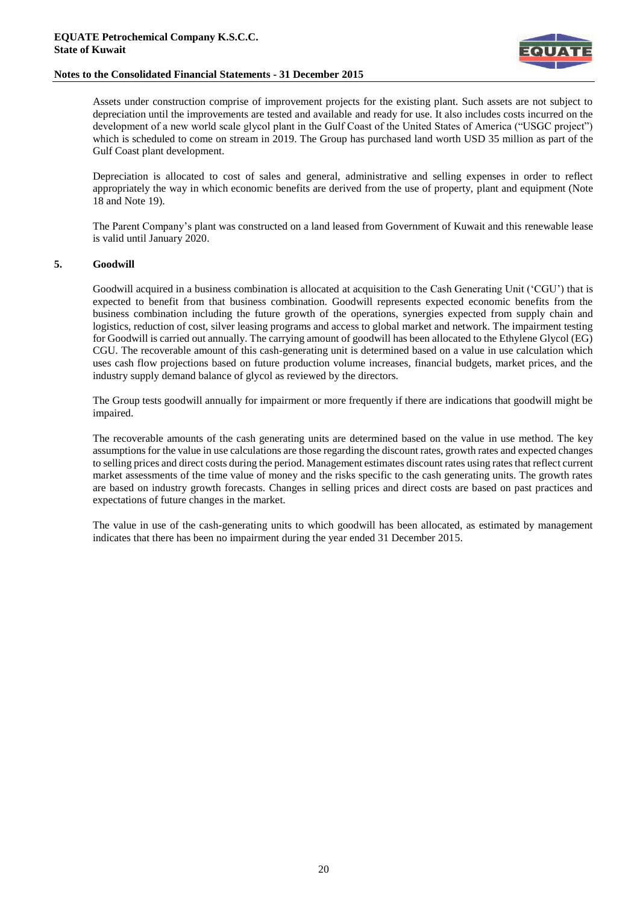![](_page_21_Picture_1.jpeg)

Assets under construction comprise of improvement projects for the existing plant. Such assets are not subject to depreciation until the improvements are tested and available and ready for use. It also includes costs incurred on the development of a new world scale glycol plant in the Gulf Coast of the United States of America ("USGC project") which is scheduled to come on stream in 2019. The Group has purchased land worth USD 35 million as part of the Gulf Coast plant development.

Depreciation is allocated to cost of sales and general, administrative and selling expenses in order to reflect appropriately the way in which economic benefits are derived from the use of property, plant and equipment (Note 18 and Note 19).

The Parent Company's plant was constructed on a land leased from Government of Kuwait and this renewable lease is valid until January 2020.

# **5. Goodwill**

Goodwill acquired in a business combination is allocated at acquisition to the Cash Generating Unit ('CGU') that is expected to benefit from that business combination. Goodwill represents expected economic benefits from the business combination including the future growth of the operations, synergies expected from supply chain and logistics, reduction of cost, silver leasing programs and access to global market and network. The impairment testing for Goodwill is carried out annually. The carrying amount of goodwill has been allocated to the Ethylene Glycol (EG) CGU. The recoverable amount of this cash-generating unit is determined based on a value in use calculation which uses cash flow projections based on future production volume increases, financial budgets, market prices, and the industry supply demand balance of glycol as reviewed by the directors.

The Group tests goodwill annually for impairment or more frequently if there are indications that goodwill might be impaired.

The recoverable amounts of the cash generating units are determined based on the value in use method. The key assumptions for the value in use calculations are those regarding the discount rates, growth rates and expected changes to selling prices and direct costs during the period. Management estimates discount rates using rates that reflect current market assessments of the time value of money and the risks specific to the cash generating units. The growth rates are based on industry growth forecasts. Changes in selling prices and direct costs are based on past practices and expectations of future changes in the market.

The value in use of the cash-generating units to which goodwill has been allocated, as estimated by management indicates that there has been no impairment during the year ended 31 December 2015.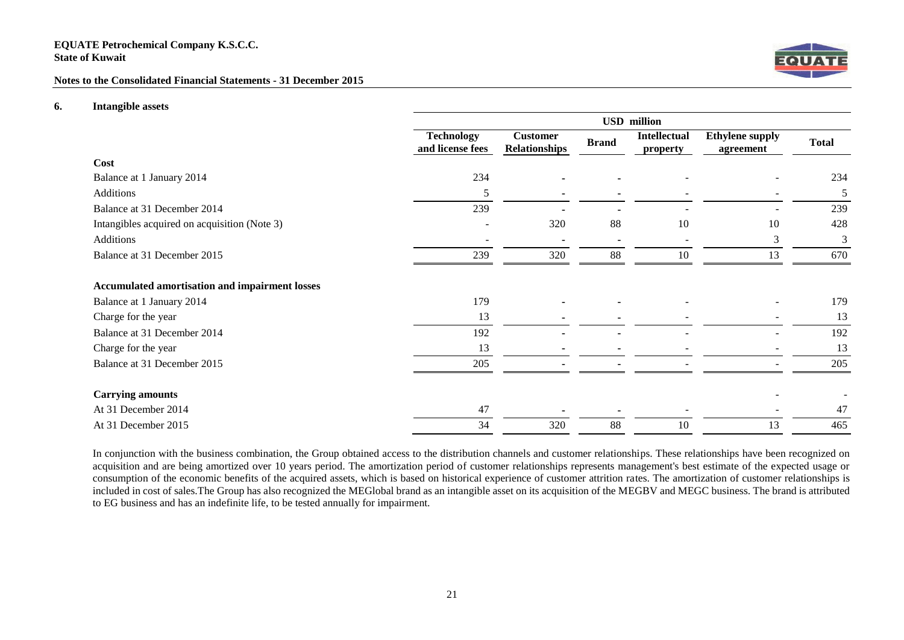# **EQUATE Petrochemical Company K.S.C.C. State of Kuwait**

# **Notes to the Consolidated Financial Statements - 31 December 2015**

![](_page_22_Picture_2.jpeg)

#### **6. Intangible assets**

|                                                | <b>USD</b> million                    |                                         |              |                                 |                                     |              |
|------------------------------------------------|---------------------------------------|-----------------------------------------|--------------|---------------------------------|-------------------------------------|--------------|
|                                                | <b>Technology</b><br>and license fees | <b>Customer</b><br><b>Relationships</b> | <b>Brand</b> | <b>Intellectual</b><br>property | <b>Ethylene supply</b><br>agreement | <b>Total</b> |
| Cost                                           |                                       |                                         |              |                                 |                                     |              |
| Balance at 1 January 2014                      | 234                                   |                                         |              |                                 |                                     | 234          |
| Additions                                      | 5                                     |                                         |              |                                 |                                     | 5            |
| Balance at 31 December 2014                    | 239                                   |                                         |              |                                 |                                     | 239          |
| Intangibles acquired on acquisition (Note 3)   |                                       | 320                                     | 88           | 10                              | 10                                  | 428          |
| Additions                                      |                                       |                                         |              |                                 | 3                                   | 3            |
| Balance at 31 December 2015                    | 239                                   | 320                                     | 88           | 10                              | 13                                  | 670          |
| Accumulated amortisation and impairment losses |                                       |                                         |              |                                 |                                     |              |
| Balance at 1 January 2014                      | 179                                   |                                         |              |                                 |                                     | 179          |
| Charge for the year                            | 13                                    |                                         |              |                                 |                                     | 13           |
| Balance at 31 December 2014                    | 192                                   |                                         |              |                                 |                                     | 192          |
| Charge for the year                            | 13                                    |                                         |              |                                 |                                     | 13           |
| Balance at 31 December 2015                    | 205                                   |                                         |              |                                 |                                     | 205          |
| <b>Carrying amounts</b>                        |                                       |                                         |              |                                 |                                     |              |
| At 31 December 2014                            | 47                                    |                                         |              |                                 |                                     | 47           |
| At 31 December 2015                            | 34                                    | 320                                     | 88           | 10                              | 13                                  | 465          |

In conjunction with the business combination, the Group obtained access to the distribution channels and customer relationships. These relationships have been recognized on acquisition and are being amortized over 10 years period. The amortization period of customer relationships represents management's best estimate of the expected usage or consumption of the economic benefits of the acquired assets, which is based on historical experience of customer attrition rates. The amortization of customer relationships is included in cost of sales.The Group has also recognized the MEGlobal brand as an intangible asset on its acquisition of the MEGBV and MEGC business. The brand is attributed to EG business and has an indefinite life, to be tested annually for impairment.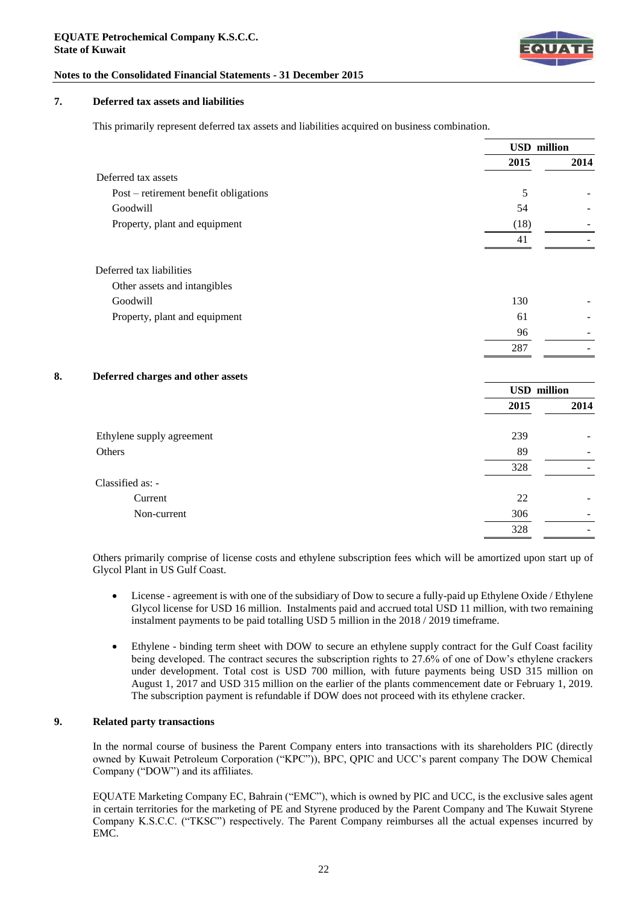![](_page_23_Picture_1.jpeg)

# **7. Deferred tax assets and liabilities**

This primarily represent deferred tax assets and liabilities acquired on business combination.

|    |                                       | <b>USD</b> million |      |
|----|---------------------------------------|--------------------|------|
|    |                                       | 2015               | 2014 |
|    | Deferred tax assets                   |                    |      |
|    | Post – retirement benefit obligations | 5                  |      |
|    | Goodwill                              | 54                 |      |
|    | Property, plant and equipment         | (18)               |      |
|    |                                       | 41                 |      |
|    | Deferred tax liabilities              |                    |      |
|    | Other assets and intangibles          |                    |      |
|    | Goodwill                              | 130                |      |
|    | Property, plant and equipment         | 61                 |      |
|    |                                       | 96                 |      |
|    |                                       | 287                |      |
| 8. | Deferred charges and other assets     |                    |      |
|    |                                       | <b>USD</b> million |      |
|    |                                       | 2015               | 2014 |
|    | Ethylene supply agreement             | 239                |      |
|    | Others                                | 89                 |      |
|    |                                       | 328                |      |
|    | Classified as: -                      |                    |      |
|    | Current                               | 22                 |      |
|    | Non-current                           | 306                |      |
|    |                                       | 328                |      |

Others primarily comprise of license costs and ethylene subscription fees which will be amortized upon start up of Glycol Plant in US Gulf Coast.

- License agreement is with one of the subsidiary of Dow to secure a fully-paid up Ethylene Oxide / Ethylene Glycol license for USD 16 million. Instalments paid and accrued total USD 11 million, with two remaining instalment payments to be paid totalling USD 5 million in the 2018 / 2019 timeframe.
- Ethylene binding term sheet with DOW to secure an ethylene supply contract for the Gulf Coast facility being developed. The contract secures the subscription rights to 27.6% of one of Dow's ethylene crackers under development. Total cost is USD 700 million, with future payments being USD 315 million on August 1, 2017 and USD 315 million on the earlier of the plants commencement date or February 1, 2019. The subscription payment is refundable if DOW does not proceed with its ethylene cracker.

# **9. Related party transactions**

In the normal course of business the Parent Company enters into transactions with its shareholders PIC (directly owned by Kuwait Petroleum Corporation ("KPC")), BPC, QPIC and UCC's parent company The DOW Chemical Company ("DOW") and its affiliates.

EQUATE Marketing Company EC, Bahrain ("EMC"), which is owned by PIC and UCC, is the exclusive sales agent in certain territories for the marketing of PE and Styrene produced by the Parent Company and The Kuwait Styrene Company K.S.C.C. ("TKSC") respectively. The Parent Company reimburses all the actual expenses incurred by EMC.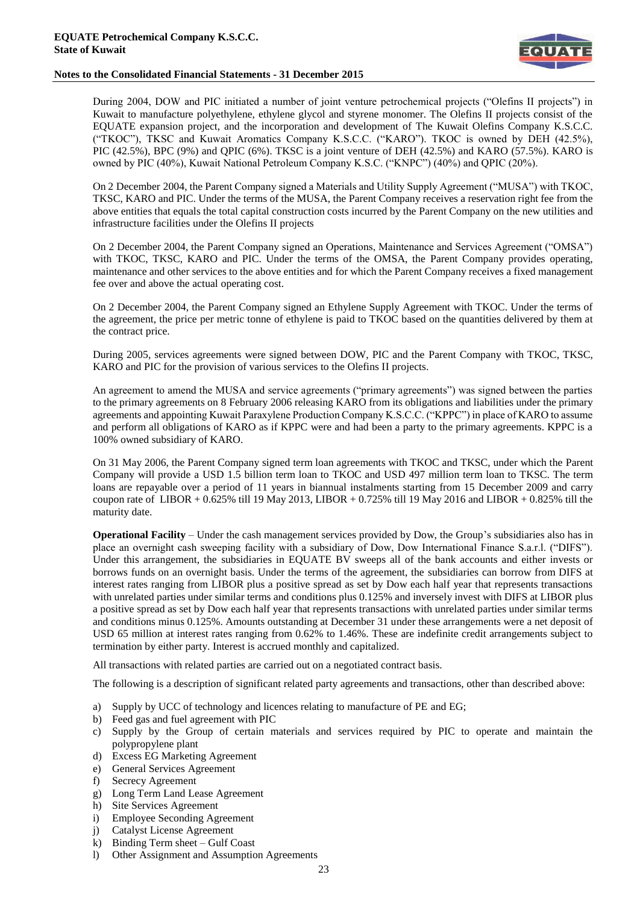![](_page_24_Picture_1.jpeg)

During 2004, DOW and PIC initiated a number of joint venture petrochemical projects ("Olefins II projects") in Kuwait to manufacture polyethylene, ethylene glycol and styrene monomer. The Olefins II projects consist of the EQUATE expansion project, and the incorporation and development of The Kuwait Olefins Company K.S.C.C. ("TKOC"), TKSC and Kuwait Aromatics Company K.S.C.C. ("KARO"). TKOC is owned by DEH (42.5%), PIC (42.5%), BPC (9%) and QPIC (6%). TKSC is a joint venture of DEH (42.5%) and KARO (57.5%). KARO is owned by PIC (40%), Kuwait National Petroleum Company K.S.C. ("KNPC") (40%) and QPIC (20%).

On 2 December 2004, the Parent Company signed a Materials and Utility Supply Agreement ("MUSA") with TKOC, TKSC, KARO and PIC. Under the terms of the MUSA, the Parent Company receives a reservation right fee from the above entities that equals the total capital construction costs incurred by the Parent Company on the new utilities and infrastructure facilities under the Olefins II projects

On 2 December 2004, the Parent Company signed an Operations, Maintenance and Services Agreement ("OMSA") with TKOC, TKSC, KARO and PIC. Under the terms of the OMSA, the Parent Company provides operating, maintenance and other services to the above entities and for which the Parent Company receives a fixed management fee over and above the actual operating cost.

On 2 December 2004, the Parent Company signed an Ethylene Supply Agreement with TKOC. Under the terms of the agreement, the price per metric tonne of ethylene is paid to TKOC based on the quantities delivered by them at the contract price.

During 2005, services agreements were signed between DOW, PIC and the Parent Company with TKOC, TKSC, KARO and PIC for the provision of various services to the Olefins II projects.

An agreement to amend the MUSA and service agreements ("primary agreements") was signed between the parties to the primary agreements on 8 February 2006 releasing KARO from its obligations and liabilities under the primary agreements and appointing Kuwait Paraxylene Production Company K.S.C.C. ("KPPC") in place of KARO to assume and perform all obligations of KARO as if KPPC were and had been a party to the primary agreements. KPPC is a 100% owned subsidiary of KARO.

On 31 May 2006, the Parent Company signed term loan agreements with TKOC and TKSC, under which the Parent Company will provide a USD 1.5 billion term loan to TKOC and USD 497 million term loan to TKSC. The term loans are repayable over a period of 11 years in biannual instalments starting from 15 December 2009 and carry coupon rate of LIBOR + 0.625% till 19 May 2013, LIBOR + 0.725% till 19 May 2016 and LIBOR + 0.825% till the maturity date.

**Operational Facility** – Under the cash management services provided by Dow, the Group's subsidiaries also has in place an overnight cash sweeping facility with a subsidiary of Dow, Dow International Finance S.a.r.l. ("DIFS"). Under this arrangement, the subsidiaries in EQUATE BV sweeps all of the bank accounts and either invests or borrows funds on an overnight basis. Under the terms of the agreement, the subsidiaries can borrow from DIFS at interest rates ranging from LIBOR plus a positive spread as set by Dow each half year that represents transactions with unrelated parties under similar terms and conditions plus 0.125% and inversely invest with DIFS at LIBOR plus a positive spread as set by Dow each half year that represents transactions with unrelated parties under similar terms and conditions minus 0.125%. Amounts outstanding at December 31 under these arrangements were a net deposit of USD 65 million at interest rates ranging from 0.62% to 1.46%. These are indefinite credit arrangements subject to termination by either party. Interest is accrued monthly and capitalized.

All transactions with related parties are carried out on a negotiated contract basis.

The following is a description of significant related party agreements and transactions, other than described above:

- a) Supply by UCC of technology and licences relating to manufacture of PE and EG;
- b) Feed gas and fuel agreement with PIC
- c) Supply by the Group of certain materials and services required by PIC to operate and maintain the polypropylene plant
- d) Excess EG Marketing Agreement
- e) General Services Agreement
- f) Secrecy Agreement
- g) Long Term Land Lease Agreement
- h) Site Services Agreement
- i) Employee Seconding Agreement
- j) Catalyst License Agreement
- k) Binding Term sheet Gulf Coast
- l) Other Assignment and Assumption Agreements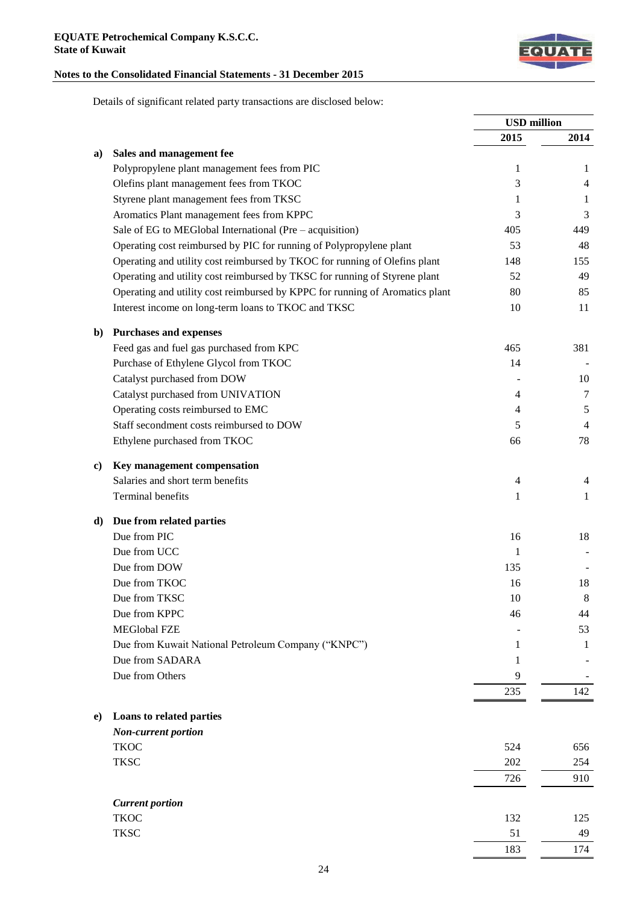![](_page_25_Picture_1.jpeg)

Details of significant related party transactions are disclosed below:

|              |                                                                              | <b>USD</b> million |                |
|--------------|------------------------------------------------------------------------------|--------------------|----------------|
|              |                                                                              | 2015               | 2014           |
| a)           | Sales and management fee                                                     |                    |                |
|              | Polypropylene plant management fees from PIC                                 | 1                  | 1              |
|              | Olefins plant management fees from TKOC                                      | 3                  | 4              |
|              | Styrene plant management fees from TKSC                                      | 1                  | 1              |
|              | Aromatics Plant management fees from KPPC                                    | 3                  | 3              |
|              | Sale of EG to MEGlobal International (Pre – acquisition)                     | 405                | 449            |
|              | Operating cost reimbursed by PIC for running of Polypropylene plant          | 53                 | 48             |
|              | Operating and utility cost reimbursed by TKOC for running of Olefins plant   | 148                | 155            |
|              | Operating and utility cost reimbursed by TKSC for running of Styrene plant   | 52                 | 49             |
|              | Operating and utility cost reimbursed by KPPC for running of Aromatics plant | 80                 | 85             |
|              | Interest income on long-term loans to TKOC and TKSC                          | 10                 | 11             |
| $\mathbf{b}$ | <b>Purchases and expenses</b>                                                |                    |                |
|              | Feed gas and fuel gas purchased from KPC                                     | 465                | 381            |
|              | Purchase of Ethylene Glycol from TKOC                                        | 14                 |                |
|              | Catalyst purchased from DOW                                                  |                    | 10             |
|              | Catalyst purchased from UNIVATION                                            | 4                  | 7              |
|              | Operating costs reimbursed to EMC                                            | 4                  | $\sqrt{5}$     |
|              | Staff secondment costs reimbursed to DOW                                     | 5                  | $\overline{4}$ |
|              | Ethylene purchased from TKOC                                                 | 66                 | 78             |
| C)           | Key management compensation                                                  |                    |                |
|              | Salaries and short term benefits                                             | $\overline{4}$     | 4              |
|              | Terminal benefits                                                            | 1                  | 1              |
| d)           | Due from related parties                                                     |                    |                |
|              | Due from PIC                                                                 | 16                 | 18             |
|              | Due from UCC                                                                 | 1                  |                |
|              | Due from DOW                                                                 | 135                |                |
|              | Due from TKOC                                                                | 16                 | 18             |
|              | Due from TKSC                                                                | 10                 | $8\,$          |
|              | Due from KPPC                                                                | 46                 | 44             |
|              | <b>MEGlobal FZE</b>                                                          |                    | 53             |
|              | Due from Kuwait National Petroleum Company ("KNPC")                          | 1                  | 1              |
|              | Due from SADARA                                                              | 1                  |                |
|              | Due from Others                                                              | 9                  |                |
|              |                                                                              | 235                | 142            |
| e)           | Loans to related parties                                                     |                    |                |
|              | <b>Non-current portion</b>                                                   |                    |                |
|              | <b>TKOC</b>                                                                  | 524                | 656            |
|              | <b>TKSC</b>                                                                  | 202                | 254            |
|              |                                                                              | 726                | 910            |
|              | <b>Current portion</b>                                                       |                    |                |
|              | <b>TKOC</b>                                                                  | 132                | 125            |
|              | <b>TKSC</b>                                                                  | 51                 | 49             |
|              |                                                                              | 183                | 174            |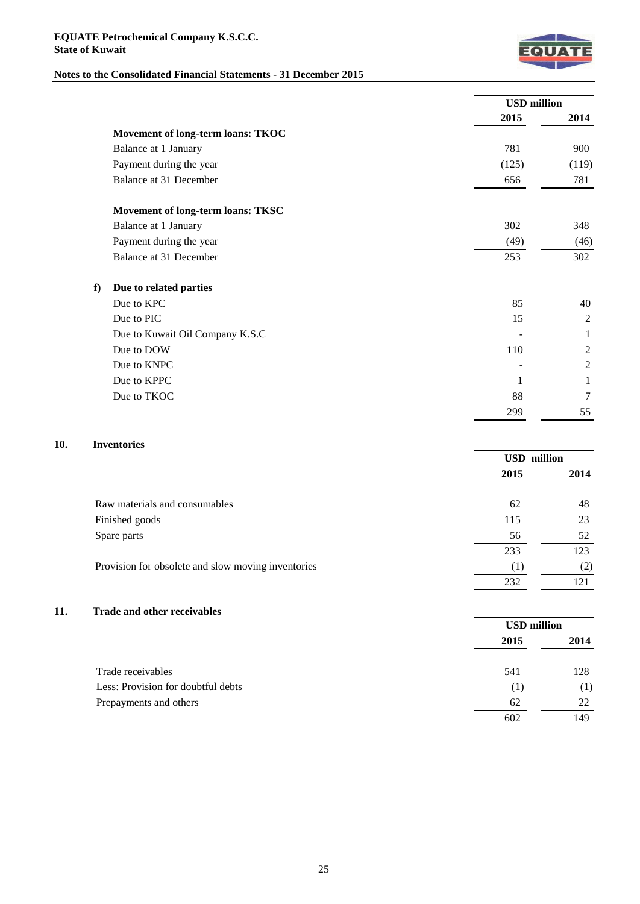#### **EQUATE Petrochemical Company K.S.C.C. State of Kuwait**

# **Notes to the Consolidated Financial Statements - 31 December 2015**

![](_page_26_Picture_2.jpeg)

|                                   |       | <b>USD</b> million |  |
|-----------------------------------|-------|--------------------|--|
|                                   | 2015  | 2014               |  |
| Movement of long-term loans: TKOC |       |                    |  |
| Balance at 1 January              | 781   | 900                |  |
| Payment during the year           | (125) | (119)              |  |
| Balance at 31 December            | 656   | 781                |  |
| Movement of long-term loans: TKSC |       |                    |  |
| Balance at 1 January              | 302   | 348                |  |
| Payment during the year           | (49)  | (46)               |  |
| Balance at 31 December            | 253   | 302                |  |
| f)<br>Due to related parties      |       |                    |  |
| Due to KPC                        | 85    | 40                 |  |
| Due to PIC                        | 15    | $\overline{2}$     |  |
| Due to Kuwait Oil Company K.S.C   |       | 1                  |  |
| Due to DOW                        | 110   | 2                  |  |
| Due to KNPC                       |       | 2                  |  |
| Due to KPPC                       |       | 1                  |  |
| Due to TKOC                       | 88    | 7                  |  |
|                                   | 299   | 55                 |  |

# **10. Inventories**

|                                                    | <b>USD</b> million |      |
|----------------------------------------------------|--------------------|------|
|                                                    | 2015               | 2014 |
| Raw materials and consumables                      | 62                 | 48   |
| Finished goods                                     | 115                | 23   |
| Spare parts                                        | 56                 | 52   |
|                                                    | 233                | 123  |
| Provision for obsolete and slow moving inventories | (1)                | (2)  |
|                                                    | 232                |      |

# **11. Trade and other receivables**

|                                    |      | <b>USD million</b> |  |
|------------------------------------|------|--------------------|--|
|                                    | 2015 | 2014               |  |
| Trade receivables                  | 541  | 128                |  |
| Less: Provision for doubtful debts | (1)  | ( 1 )              |  |
| Prepayments and others             | 62   | 22                 |  |
|                                    | 602  | 149                |  |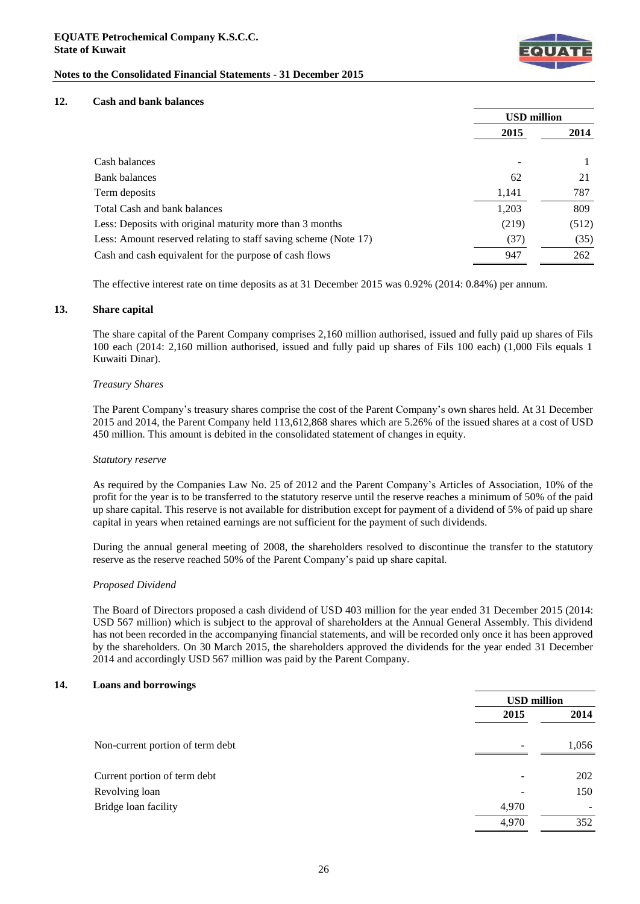![](_page_27_Picture_1.jpeg)

# **12. Cash and bank balances**

|                                                                 | <b>USD</b> million |       |
|-----------------------------------------------------------------|--------------------|-------|
|                                                                 | 2015               | 2014  |
| Cash balances                                                   |                    |       |
| <b>Bank</b> balances                                            | 62                 | 21    |
| Term deposits                                                   | 1,141              | 787   |
| Total Cash and bank balances                                    | 1,203              | 809   |
| Less: Deposits with original maturity more than 3 months        | (219)              | (512) |
| Less: Amount reserved relating to staff saving scheme (Note 17) | (37)               | (35)  |
| Cash and cash equivalent for the purpose of cash flows          | 947                | 262   |

The effective interest rate on time deposits as at 31 December 2015 was 0.92% (2014: 0.84%) per annum.

#### **13. Share capital**

The share capital of the Parent Company comprises 2,160 million authorised, issued and fully paid up shares of Fils 100 each (2014: 2,160 million authorised, issued and fully paid up shares of Fils 100 each) (1,000 Fils equals 1 Kuwaiti Dinar).

#### *Treasury Shares*

The Parent Company's treasury shares comprise the cost of the Parent Company's own shares held. At 31 December 2015 and 2014, the Parent Company held 113,612,868 shares which are 5.26% of the issued shares at a cost of USD 450 million. This amount is debited in the consolidated statement of changes in equity.

#### *Statutory reserve*

As required by the Companies Law No. 25 of 2012 and the Parent Company's Articles of Association, 10% of the profit for the year is to be transferred to the statutory reserve until the reserve reaches a minimum of 50% of the paid up share capital. This reserve is not available for distribution except for payment of a dividend of 5% of paid up share capital in years when retained earnings are not sufficient for the payment of such dividends.

During the annual general meeting of 2008, the shareholders resolved to discontinue the transfer to the statutory reserve as the reserve reached 50% of the Parent Company's paid up share capital.

# *Proposed Dividend*

The Board of Directors proposed a cash dividend of USD 403 million for the year ended 31 December 2015 (2014: USD 567 million) which is subject to the approval of shareholders at the Annual General Assembly. This dividend has not been recorded in the accompanying financial statements, and will be recorded only once it has been approved by the shareholders. On 30 March 2015, the shareholders approved the dividends for the year ended 31 December 2014 and accordingly USD 567 million was paid by the Parent Company.

#### **14. Loans and borrowings**

|                                  | <b>USD</b> million |       |
|----------------------------------|--------------------|-------|
|                                  | 2015               | 2014  |
| Non-current portion of term debt |                    | 1,056 |
| Current portion of term debt     |                    | 202   |
| Revolving loan                   |                    | 150   |
| Bridge loan facility             | 4,970              |       |
|                                  | 4,970              | 352   |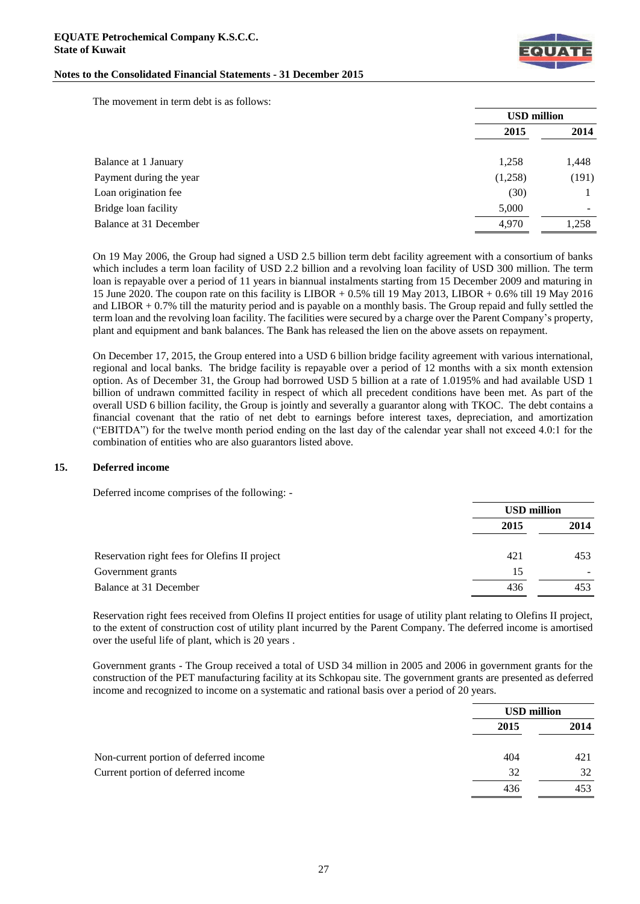![](_page_28_Picture_1.jpeg)

The movement in term debt is as follows:

|                         | <b>USD million</b> |                          |
|-------------------------|--------------------|--------------------------|
|                         | 2015               | 2014                     |
| Balance at 1 January    | 1,258              | 1,448                    |
| Payment during the year | (1,258)            | (191)                    |
| Loan origination fee    | (30)               |                          |
| Bridge loan facility    | 5,000              | $\overline{\phantom{a}}$ |
| Balance at 31 December  | 4,970              | 1,258                    |

On 19 May 2006, the Group had signed a USD 2.5 billion term debt facility agreement with a consortium of banks which includes a term loan facility of USD 2.2 billion and a revolving loan facility of USD 300 million. The term loan is repayable over a period of 11 years in biannual instalments starting from 15 December 2009 and maturing in 15 June 2020. The coupon rate on this facility is LIBOR + 0.5% till 19 May 2013, LIBOR + 0.6% till 19 May 2016 and LIBOR  $+0.7\%$  till the maturity period and is payable on a monthly basis. The Group repaid and fully settled the term loan and the revolving loan facility. The facilities were secured by a charge over the Parent Company's property, plant and equipment and bank balances. The Bank has released the lien on the above assets on repayment.

On December 17, 2015, the Group entered into a USD 6 billion bridge facility agreement with various international, regional and local banks. The bridge facility is repayable over a period of 12 months with a six month extension option. As of December 31, the Group had borrowed USD 5 billion at a rate of 1.0195% and had available USD 1 billion of undrawn committed facility in respect of which all precedent conditions have been met. As part of the overall USD 6 billion facility, the Group is jointly and severally a guarantor along with TKOC. The debt contains a financial covenant that the ratio of net debt to earnings before interest taxes, depreciation, and amortization ("EBITDA") for the twelve month period ending on the last day of the calendar year shall not exceed 4.0:1 for the combination of entities who are also guarantors listed above.

#### **15. Deferred income**

Deferred income comprises of the following: -

|                                               | <b>USD million</b> |      |
|-----------------------------------------------|--------------------|------|
|                                               | 2015               | 2014 |
| Reservation right fees for Olefins II project | 421                | 453  |
| Government grants                             | 15                 |      |
| Balance at 31 December                        | 436                | 453  |

Reservation right fees received from Olefins II project entities for usage of utility plant relating to Olefins II project, to the extent of construction cost of utility plant incurred by the Parent Company. The deferred income is amortised over the useful life of plant, which is 20 years .

Government grants - The Group received a total of USD 34 million in 2005 and 2006 in government grants for the construction of the PET manufacturing facility at its Schkopau site. The government grants are presented as deferred income and recognized to income on a systematic and rational basis over a period of 20 years.

|                                        |      | <b>USD million</b> |  |
|----------------------------------------|------|--------------------|--|
|                                        | 2015 | 2014               |  |
| Non-current portion of deferred income | 404  | 421                |  |
| Current portion of deferred income     | 32   | 32                 |  |
|                                        | 436  | 453                |  |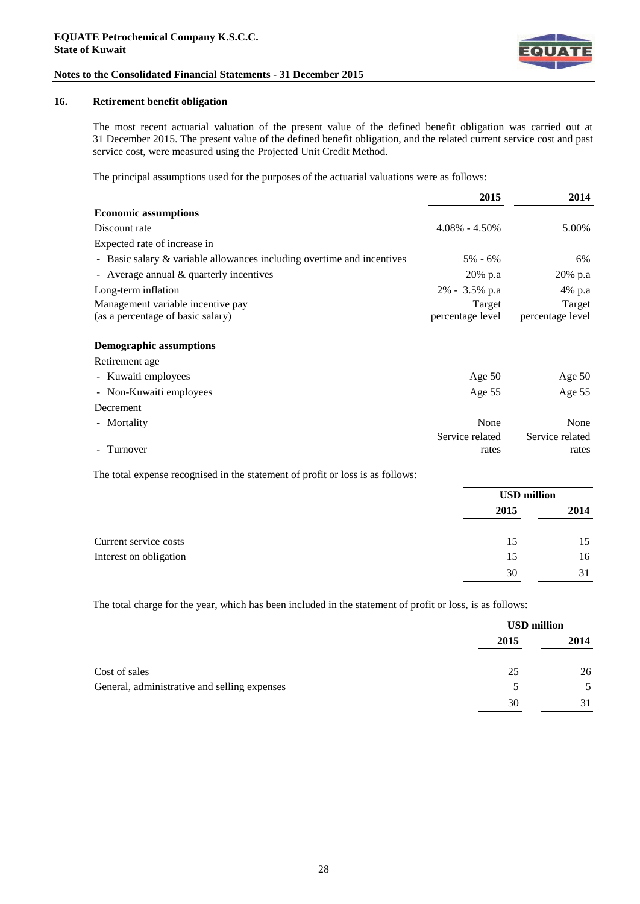![](_page_29_Picture_1.jpeg)

# **16. Retirement benefit obligation**

The most recent actuarial valuation of the present value of the defined benefit obligation was carried out at 31 December 2015. The present value of the defined benefit obligation, and the related current service cost and past service cost, were measured using the Projected Unit Credit Method.

The principal assumptions used for the purposes of the actuarial valuations were as follows:

|                                                                           | 2015               | 2014             |
|---------------------------------------------------------------------------|--------------------|------------------|
| <b>Economic assumptions</b>                                               |                    |                  |
| Discount rate                                                             | $4.08\% - 4.50\%$  | 5.00%            |
| Expected rate of increase in                                              |                    |                  |
| - Basic salary $\&$ variable allowances including overtime and incentives | $5\% - 6\%$        | 6%               |
| - Average annual $&$ quarterly incentives                                 | 20% p.a            | 20% p.a          |
| Long-term inflation                                                       | $2\% - 3.5\%$ p.a. | 4% p.a           |
| Management variable incentive pay                                         | Target             | Target           |
| (as a percentage of basic salary)                                         | percentage level   | percentage level |
| <b>Demographic assumptions</b>                                            |                    |                  |
| Retirement age                                                            |                    |                  |
| - Kuwaiti employees                                                       | Age $50$           | Age $50$         |
| - Non-Kuwaiti employees                                                   | Age $55$           | Age 55           |
| Decrement                                                                 |                    |                  |
| - Mortality                                                               | None               | None             |
|                                                                           | Service related    | Service related  |
| - Turnover                                                                | rates              | rates            |

The total expense recognised in the statement of profit or loss is as follows:

|                        |      | <b>USD</b> million |  |
|------------------------|------|--------------------|--|
|                        | 2015 | 2014               |  |
| Current service costs  | 15   | 15                 |  |
| Interest on obligation | 15   | 16                 |  |
|                        | 30   |                    |  |

The total charge for the year, which has been included in the statement of profit or loss, is as follows:

|                                              |      | <b>USD million</b> |  |
|----------------------------------------------|------|--------------------|--|
|                                              | 2015 | 2014               |  |
| Cost of sales                                | 25   | 26                 |  |
| General, administrative and selling expenses |      |                    |  |
|                                              | 30   |                    |  |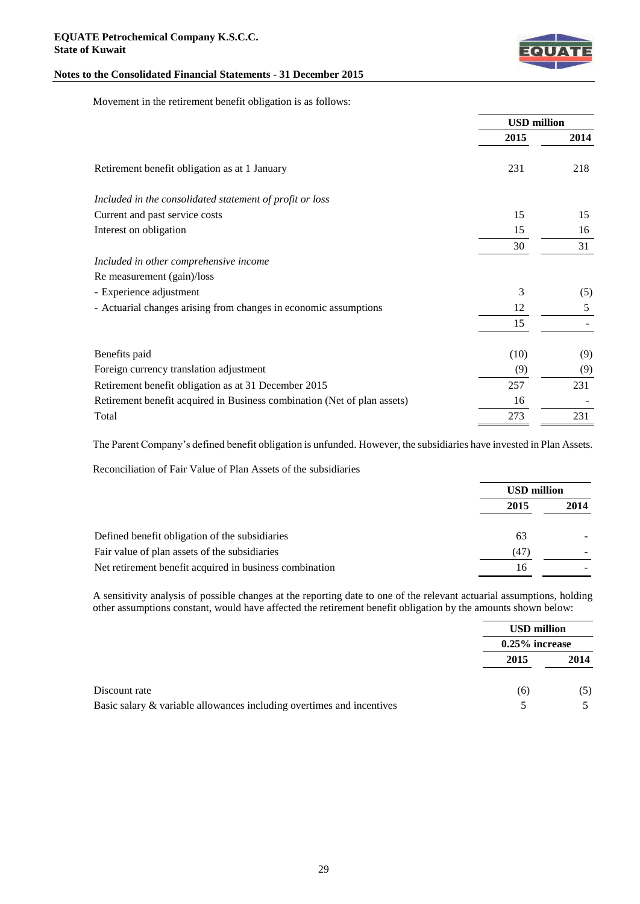![](_page_30_Picture_1.jpeg)

Movement in the retirement benefit obligation is as follows:

|                                                                          | <b>USD</b> million |      |
|--------------------------------------------------------------------------|--------------------|------|
|                                                                          | 2015               | 2014 |
| Retirement benefit obligation as at 1 January                            | 231                | 218  |
| Included in the consolidated statement of profit or loss                 |                    |      |
| Current and past service costs                                           | 15                 | 15   |
| Interest on obligation                                                   | 15                 | 16   |
|                                                                          | 30                 | 31   |
| Included in other comprehensive income                                   |                    |      |
| Re measurement (gain)/loss                                               |                    |      |
| - Experience adjustment                                                  | 3                  | (5)  |
| - Actuarial changes arising from changes in economic assumptions         | 12                 | 5    |
|                                                                          | 15                 |      |
| Benefits paid                                                            | (10)               | (9)  |
| Foreign currency translation adjustment                                  | (9)                | (9)  |
| Retirement benefit obligation as at 31 December 2015                     | 257                | 231  |
| Retirement benefit acquired in Business combination (Net of plan assets) | 16                 |      |
| Total                                                                    | 273                | 231  |

The Parent Company's defined benefit obligation is unfunded. However, the subsidiaries have invested in Plan Assets.

Reconciliation of Fair Value of Plan Assets of the subsidiaries

|                                                         | <b>USD million</b> |  |
|---------------------------------------------------------|--------------------|--|
|                                                         | 2014<br>2015       |  |
| Defined benefit obligation of the subsidiaries          | 63                 |  |
| Fair value of plan assets of the subsidiaries           | (47)               |  |
| Net retirement benefit acquired in business combination | 16                 |  |

A sensitivity analysis of possible changes at the reporting date to one of the relevant actuarial assumptions, holding other assumptions constant, would have affected the retirement benefit obligation by the amounts shown below:

|                                                                       | <b>USD million</b> |      |
|-----------------------------------------------------------------------|--------------------|------|
|                                                                       | $0.25\%$ increase  |      |
|                                                                       | 2015               | 2014 |
| Discount rate                                                         | (6)                | (5)  |
| Basic salary & variable allowances including overtimes and incentives |                    |      |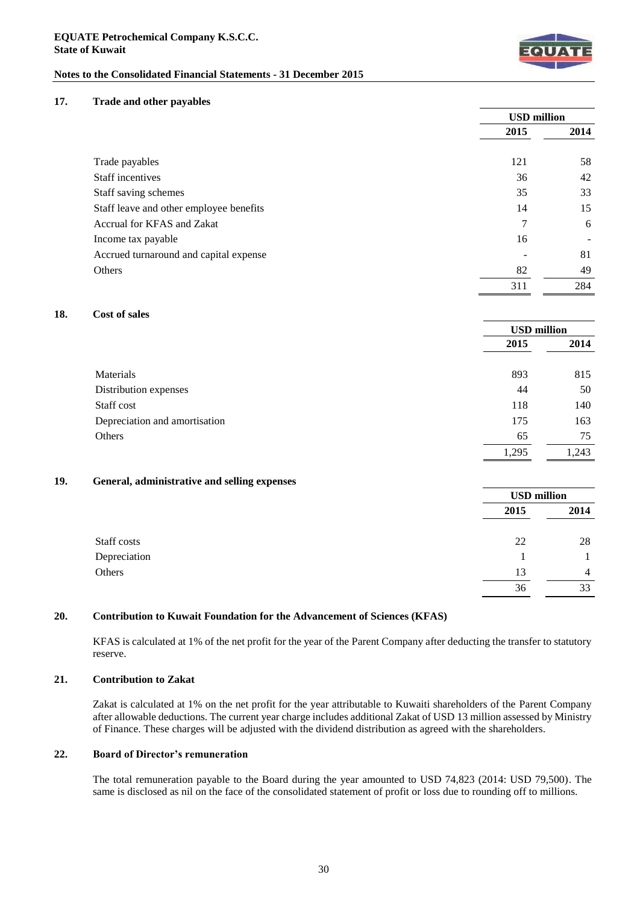![](_page_31_Picture_1.jpeg)

# **17. Trade and other payables**

|                                         |      | <b>USD</b> million |  |
|-----------------------------------------|------|--------------------|--|
|                                         | 2015 | 2014               |  |
|                                         |      |                    |  |
| Trade payables                          | 121  | 58                 |  |
| Staff incentives                        | 36   | 42                 |  |
| Staff saving schemes                    | 35   | 33                 |  |
| Staff leave and other employee benefits | 14   | 15                 |  |
| Accrual for KFAS and Zakat              | 7    | 6                  |  |
| Income tax payable                      | 16   |                    |  |
| Accrued turnaround and capital expense  |      | 81                 |  |
| <b>Others</b>                           | 82   | 49                 |  |
|                                         | 311  | 284                |  |

# **18. Cost of sales**

|                               |       | <b>USD</b> million |  |
|-------------------------------|-------|--------------------|--|
|                               | 2015  | 2014               |  |
| Materials                     | 893   | 815                |  |
| Distribution expenses         | 44    | 50                 |  |
| Staff cost                    | 118   | 140                |  |
| Depreciation and amortisation | 175   | 163                |  |
| Others                        | 65    | 75                 |  |
|                               | 1,295 | 1,243              |  |

# **19. General, administrative and selling expenses**

|              |      | <b>USD</b> million |  |
|--------------|------|--------------------|--|
|              | 2015 | 2014               |  |
|              |      |                    |  |
| Staff costs  | 22   | 28                 |  |
| Depreciation |      |                    |  |
| Others       | 13   | $\overline{4}$     |  |
|              | 36   | 33                 |  |

# **20. Contribution to Kuwait Foundation for the Advancement of Sciences (KFAS)**

KFAS is calculated at 1% of the net profit for the year of the Parent Company after deducting the transfer to statutory reserve.

# **21. Contribution to Zakat**

Zakat is calculated at 1% on the net profit for the year attributable to Kuwaiti shareholders of the Parent Company after allowable deductions. The current year charge includes additional Zakat of USD 13 million assessed by Ministry of Finance. These charges will be adjusted with the dividend distribution as agreed with the shareholders.

#### **22. Board of Director's remuneration**

The total remuneration payable to the Board during the year amounted to USD 74,823 (2014: USD 79,500). The same is disclosed as nil on the face of the consolidated statement of profit or loss due to rounding off to millions.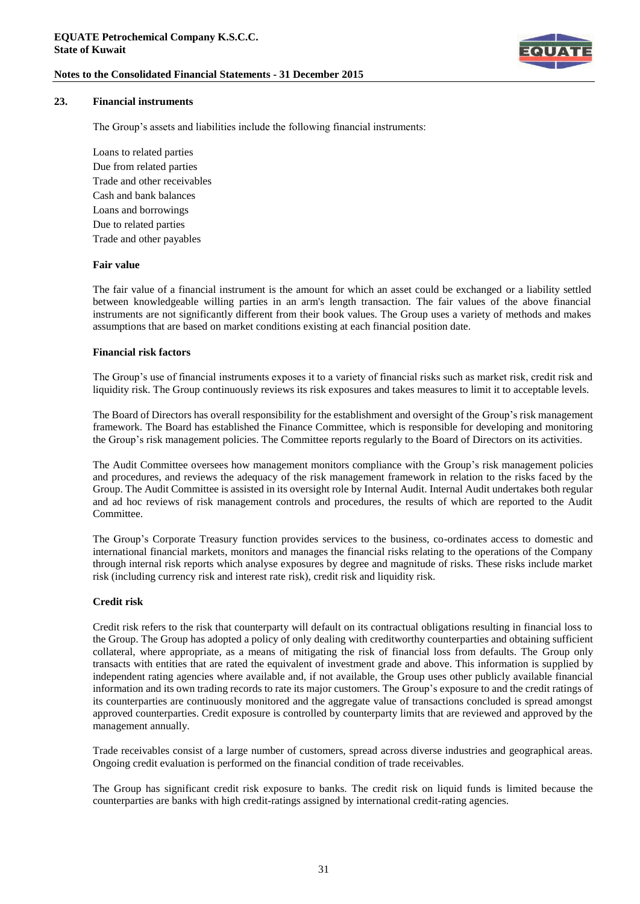![](_page_32_Picture_1.jpeg)

## **23. Financial instruments**

The Group's assets and liabilities include the following financial instruments:

Loans to related parties Due from related parties Trade and other receivables Cash and bank balances Loans and borrowings Due to related parties Trade and other payables

#### **Fair value**

The fair value of a financial instrument is the amount for which an asset could be exchanged or a liability settled between knowledgeable willing parties in an arm's length transaction. The fair values of the above financial instruments are not significantly different from their book values. The Group uses a variety of methods and makes assumptions that are based on market conditions existing at each financial position date.

#### **Financial risk factors**

The Group's use of financial instruments exposes it to a variety of financial risks such as market risk, credit risk and liquidity risk. The Group continuously reviews its risk exposures and takes measures to limit it to acceptable levels.

The Board of Directors has overall responsibility for the establishment and oversight of the Group's risk management framework. The Board has established the Finance Committee, which is responsible for developing and monitoring the Group's risk management policies. The Committee reports regularly to the Board of Directors on its activities.

The Audit Committee oversees how management monitors compliance with the Group's risk management policies and procedures, and reviews the adequacy of the risk management framework in relation to the risks faced by the Group. The Audit Committee is assisted in its oversight role by Internal Audit. Internal Audit undertakes both regular and ad hoc reviews of risk management controls and procedures, the results of which are reported to the Audit Committee.

The Group's Corporate Treasury function provides services to the business, co-ordinates access to domestic and international financial markets, monitors and manages the financial risks relating to the operations of the Company through internal risk reports which analyse exposures by degree and magnitude of risks. These risks include market risk (including currency risk and interest rate risk), credit risk and liquidity risk.

## **Credit risk**

Credit risk refers to the risk that counterparty will default on its contractual obligations resulting in financial loss to the Group. The Group has adopted a policy of only dealing with creditworthy counterparties and obtaining sufficient collateral, where appropriate, as a means of mitigating the risk of financial loss from defaults. The Group only transacts with entities that are rated the equivalent of investment grade and above. This information is supplied by independent rating agencies where available and, if not available, the Group uses other publicly available financial information and its own trading records to rate its major customers. The Group's exposure to and the credit ratings of its counterparties are continuously monitored and the aggregate value of transactions concluded is spread amongst approved counterparties. Credit exposure is controlled by counterparty limits that are reviewed and approved by the management annually.

Trade receivables consist of a large number of customers, spread across diverse industries and geographical areas. Ongoing credit evaluation is performed on the financial condition of trade receivables.

The Group has significant credit risk exposure to banks. The credit risk on liquid funds is limited because the counterparties are banks with high credit-ratings assigned by international credit-rating agencies.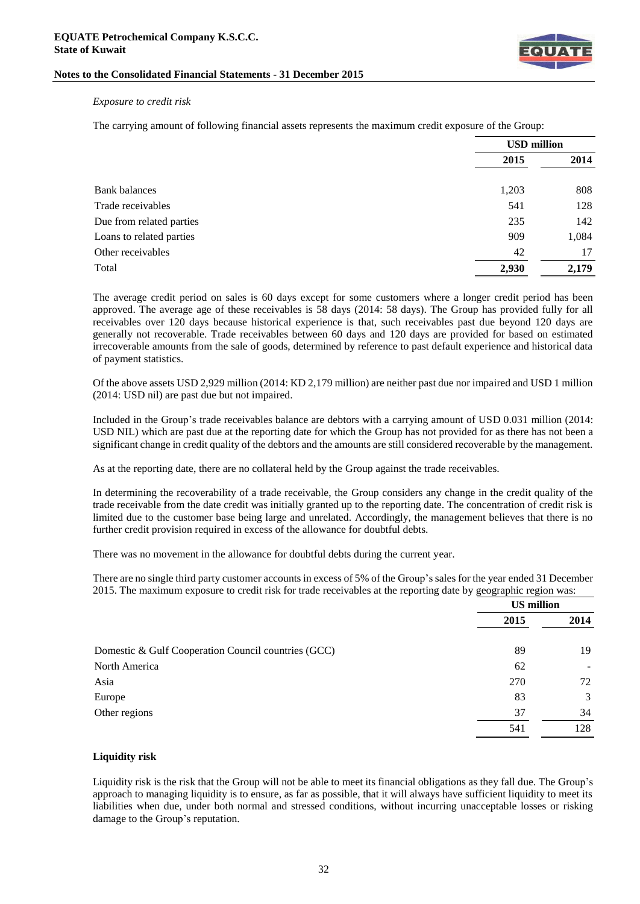![](_page_33_Picture_1.jpeg)

#### *Exposure to credit risk*

The carrying amount of following financial assets represents the maximum credit exposure of the Group:

|                          |       | <b>USD</b> million |  |
|--------------------------|-------|--------------------|--|
|                          | 2015  | 2014               |  |
| <b>Bank balances</b>     | 1,203 | 808                |  |
| Trade receivables        | 541   | 128                |  |
| Due from related parties | 235   | 142                |  |
| Loans to related parties | 909   | 1,084              |  |
| Other receivables        | 42    | 17                 |  |
| Total                    | 2,930 | 2,179              |  |

The average credit period on sales is 60 days except for some customers where a longer credit period has been approved. The average age of these receivables is 58 days (2014: 58 days). The Group has provided fully for all receivables over 120 days because historical experience is that, such receivables past due beyond 120 days are generally not recoverable. Trade receivables between 60 days and 120 days are provided for based on estimated irrecoverable amounts from the sale of goods, determined by reference to past default experience and historical data of payment statistics.

Of the above assets USD 2,929 million (2014: KD 2,179 million) are neither past due nor impaired and USD 1 million (2014: USD nil) are past due but not impaired.

Included in the Group's trade receivables balance are debtors with a carrying amount of USD 0.031 million (2014: USD NIL) which are past due at the reporting date for which the Group has not provided for as there has not been a significant change in credit quality of the debtors and the amounts are still considered recoverable by the management.

As at the reporting date, there are no collateral held by the Group against the trade receivables.

In determining the recoverability of a trade receivable, the Group considers any change in the credit quality of the trade receivable from the date credit was initially granted up to the reporting date. The concentration of credit risk is limited due to the customer base being large and unrelated. Accordingly, the management believes that there is no further credit provision required in excess of the allowance for doubtful debts.

There was no movement in the allowance for doubtful debts during the current year.

There are no single third party customer accounts in excess of 5% of the Group's sales for the year ended 31 December 2015. The maximum exposure to credit risk for trade receivables at the reporting date by geographic region was:

|                                                     | <b>US</b> million |      |
|-----------------------------------------------------|-------------------|------|
|                                                     | 2015              | 2014 |
| Domestic & Gulf Cooperation Council countries (GCC) | 89                | 19   |
| North America                                       | 62                |      |
| Asia                                                | 270               | 72   |
| Europe                                              | 83                | 3    |
| Other regions                                       | 37                | 34   |
|                                                     | 541               | 128  |

# **Liquidity risk**

Liquidity risk is the risk that the Group will not be able to meet its financial obligations as they fall due. The Group's approach to managing liquidity is to ensure, as far as possible, that it will always have sufficient liquidity to meet its liabilities when due, under both normal and stressed conditions, without incurring unacceptable losses or risking damage to the Group's reputation.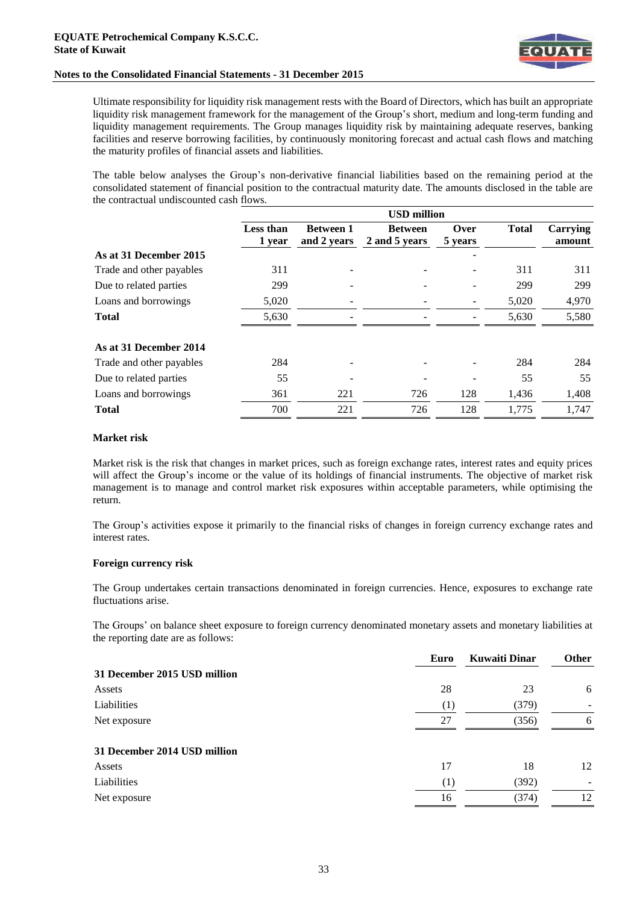![](_page_34_Picture_1.jpeg)

Ultimate responsibility for liquidity risk management rests with the Board of Directors, which has built an appropriate liquidity risk management framework for the management of the Group's short, medium and long-term funding and liquidity management requirements. The Group manages liquidity risk by maintaining adequate reserves, banking facilities and reserve borrowing facilities, by continuously monitoring forecast and actual cash flows and matching the maturity profiles of financial assets and liabilities.

The table below analyses the Group's non-derivative financial liabilities based on the remaining period at the consolidated statement of financial position to the contractual maturity date. The amounts disclosed in the table are the contractual undiscounted cash flows.

|                          |                            | <b>USD million</b>              |                                 |                 |              |                           |
|--------------------------|----------------------------|---------------------------------|---------------------------------|-----------------|--------------|---------------------------|
|                          | <b>Less than</b><br>1 year | <b>Between 1</b><br>and 2 years | <b>Between</b><br>2 and 5 years | Over<br>5 years | <b>Total</b> | <b>Carrying</b><br>amount |
| As at 31 December 2015   |                            |                                 |                                 |                 |              |                           |
| Trade and other payables | 311                        |                                 |                                 |                 | 311          | 311                       |
| Due to related parties   | 299                        |                                 |                                 |                 | 299          | 299                       |
| Loans and borrowings     | 5,020                      |                                 |                                 |                 | 5,020        | 4,970                     |
| <b>Total</b>             | 5,630                      |                                 |                                 |                 | 5,630        | 5,580                     |
| As at 31 December 2014   |                            |                                 |                                 |                 |              |                           |
| Trade and other payables | 284                        |                                 |                                 |                 | 284          | 284                       |
| Due to related parties   | 55                         |                                 |                                 |                 | 55           | 55                        |
| Loans and borrowings     | 361                        | 221                             | 726                             | 128             | 1,436        | 1,408                     |
| <b>Total</b>             | 700                        | 221                             | 726                             | 128             | 1.775        | 1.747                     |

#### **Market risk**

Market risk is the risk that changes in market prices, such as foreign exchange rates, interest rates and equity prices will affect the Group's income or the value of its holdings of financial instruments. The objective of market risk management is to manage and control market risk exposures within acceptable parameters, while optimising the return.

The Group's activities expose it primarily to the financial risks of changes in foreign currency exchange rates and interest rates.

#### **Foreign currency risk**

The Group undertakes certain transactions denominated in foreign currencies. Hence, exposures to exchange rate fluctuations arise.

The Groups' on balance sheet exposure to foreign currency denominated monetary assets and monetary liabilities at the reporting date are as follows:

| Other |
|-------|
|       |
| 6     |
|       |
| 6     |
|       |
| 12    |
|       |
| 12    |
|       |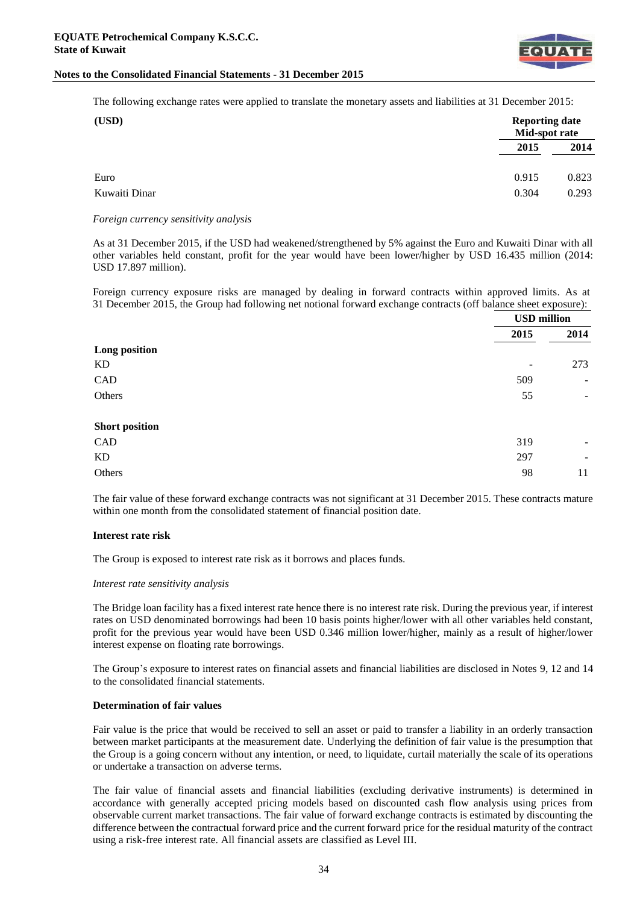![](_page_35_Picture_1.jpeg)

The following exchange rates were applied to translate the monetary assets and liabilities at 31 December 2015:

| (USD)         |       | <b>Reporting date</b><br>Mid-spot rate |  |
|---------------|-------|----------------------------------------|--|
|               | 2015  | 2014                                   |  |
| Euro          | 0.915 | 0.823                                  |  |
| Kuwaiti Dinar | 0.304 | 0.293                                  |  |

#### *Foreign currency sensitivity analysis*

As at 31 December 2015, if the USD had weakened/strengthened by 5% against the Euro and Kuwaiti Dinar with all other variables held constant, profit for the year would have been lower/higher by USD 16.435 million (2014: USD 17.897 million).

Foreign currency exposure risks are managed by dealing in forward contracts within approved limits. As at 31 December 2015, the Group had following net notional forward exchange contracts (off balance sheet exposure):

|                                   | <b>USD</b> million |                                 |
|-----------------------------------|--------------------|---------------------------------|
|                                   | 2015               | 2014                            |
| Long position<br><b>KD</b><br>CAD |                    | 273<br>$\overline{\phantom{a}}$ |
|                                   | -                  |                                 |
|                                   | 509                |                                 |
| Others                            | 55                 | $\overline{\phantom{a}}$        |
| <b>Short position</b>             |                    |                                 |
| CAD                               | 319                | $\overline{\phantom{a}}$        |
| <b>KD</b>                         | 297                | $\overline{\phantom{a}}$        |
| Others                            | 98                 | 11                              |

The fair value of these forward exchange contracts was not significant at 31 December 2015. These contracts mature within one month from the consolidated statement of financial position date.

#### **Interest rate risk**

The Group is exposed to interest rate risk as it borrows and places funds.

#### *Interest rate sensitivity analysis*

The Bridge loan facility has a fixed interest rate hence there is no interest rate risk. During the previous year, if interest rates on USD denominated borrowings had been 10 basis points higher/lower with all other variables held constant, profit for the previous year would have been USD 0.346 million lower/higher, mainly as a result of higher/lower interest expense on floating rate borrowings.

The Group's exposure to interest rates on financial assets and financial liabilities are disclosed in Notes 9, 12 and 14 to the consolidated financial statements.

#### **Determination of fair values**

Fair value is the price that would be received to sell an asset or paid to transfer a liability in an orderly transaction between market participants at the measurement date. Underlying the definition of fair value is the presumption that the Group is a going concern without any intention, or need, to liquidate, curtail materially the scale of its operations or undertake a transaction on adverse terms.

The fair value of financial assets and financial liabilities (excluding derivative instruments) is determined in accordance with generally accepted pricing models based on discounted cash flow analysis using prices from observable current market transactions. The fair value of forward exchange contracts is estimated by discounting the difference between the contractual forward price and the current forward price for the residual maturity of the contract using a risk-free interest rate. All financial assets are classified as Level III.